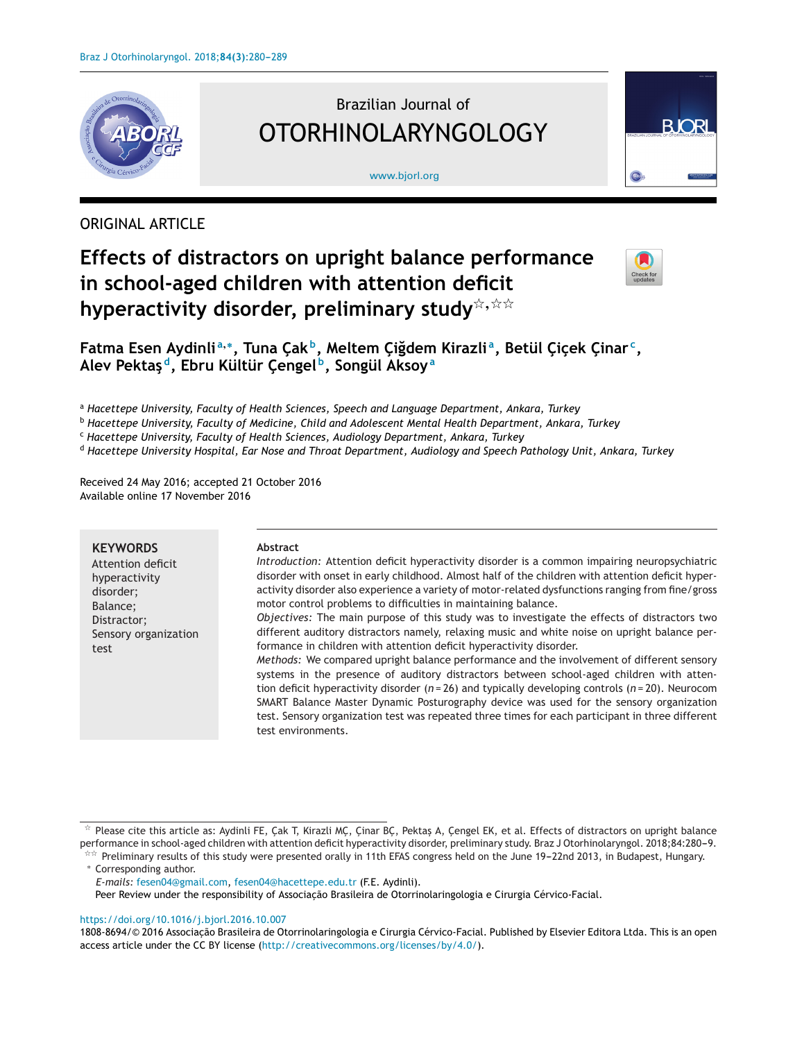

# Brazilian Journal of OTORHINOLARYNGOLOGY

#### [www.bjorl.org](http://www.bjorl.org)



# ORIGINAL ARTICLE

# **Effects of distractors on upright balance performance in school-aged children with attention deficit hyperactivity disorder, preliminary study**-**,**--



**Fatma Esen Aydinli <sup>a</sup>,∗, Tuna C¸ak b, Meltem C¸i˘gdem Kirazli a, Betül C¸ic¸ek C¸inar c, Alev Pektas¸d, Ebru Kültür C¸engel b, Songül Aksoy<sup>a</sup>**

<sup>a</sup> *Hacettepe University, Faculty of Health Sciences, Speech and Language Department, Ankara, Turkey*

<sup>b</sup> *Hacettepe University, Faculty of Medicine, Child and Adolescent Mental Health Department, Ankara, Turkey*

<sup>c</sup> *Hacettepe University, Faculty of Health Sciences, Audiology Department, Ankara, Turkey*

<sup>d</sup> *Hacettepe University Hospital, Ear Nose and Throat Department, Audiology and Speech Pathology Unit, Ankara, Turkey*

Received 24 May 2016; accepted 21 October 2016 Available online 17 November 2016

# **KEYWORDS**

Attention deficit hyperactivity disorder; Balance; Distractor; Sensory organization test

#### **Abstract**

*Introduction:* Attention deficit hyperactivity disorder is a common impairing neuropsychiatric disorder with onset in early childhood. Almost half of the children with attention deficit hyperactivity disorder also experience a variety of motor-related dysfunctions ranging from fine/gross motor control problems to difficulties in maintaining balance.

*Objectives:* The main purpose of this study was to investigate the effects of distractors two different auditory distractors namely, relaxing music and white noise on upright balance performance in children with attention deficit hyperactivity disorder.

*Methods:* We compared upright balance performance and the involvement of different sensory systems in the presence of auditory distractors between school-aged children with attention deficit hyperactivity disorder (*n* = 26) and typically developing controls (*n* = 20). Neurocom SMART Balance Master Dynamic Posturography device was used for the sensory organization test. Sensory organization test was repeated three times for each participant in three different test environments.

\*\* Preliminary results of this study were presented orally in 11th EFAS congress held on the June 19-22nd 2013, in Budapest, Hungary. ∗ Corresponding author.

*E-mails:* [fesen04@gmail.com,](mailto:fesen04@gmail.com) [fesen04@hacettepe.edu.tr](mailto:fesen04@hacettepe.edu.tr) (F.E. Aydinli).

Peer Review under the responsibility of Associação Brasileira de Otorrinolaringologia e Cirurgia Cérvico-Facial.

## <https://doi.org/10.1016/j.bjorl.2016.10.007>

1808-8694/© 2016 Associacão Brasileira de Otorrinolaringologia e Cirurgia Cérvico-Facial. Published by Elsevier Editora Ltda. This is an open access article under the CC BY license (<http://creativecommons.org/licenses/by/4.0/>).

 $^{\star}$  Please cite this article as: Aydinli FE, Çak T, Kirazli MÇ, Çinar BÇ, Pektaş A, Çengel EK, et al. Effects of distractors on upright balance performance in school-aged children with attention deficit hyperactivity disorder, preliminary study. Braz J Otorhinolaryngol. 2018;84:280-9.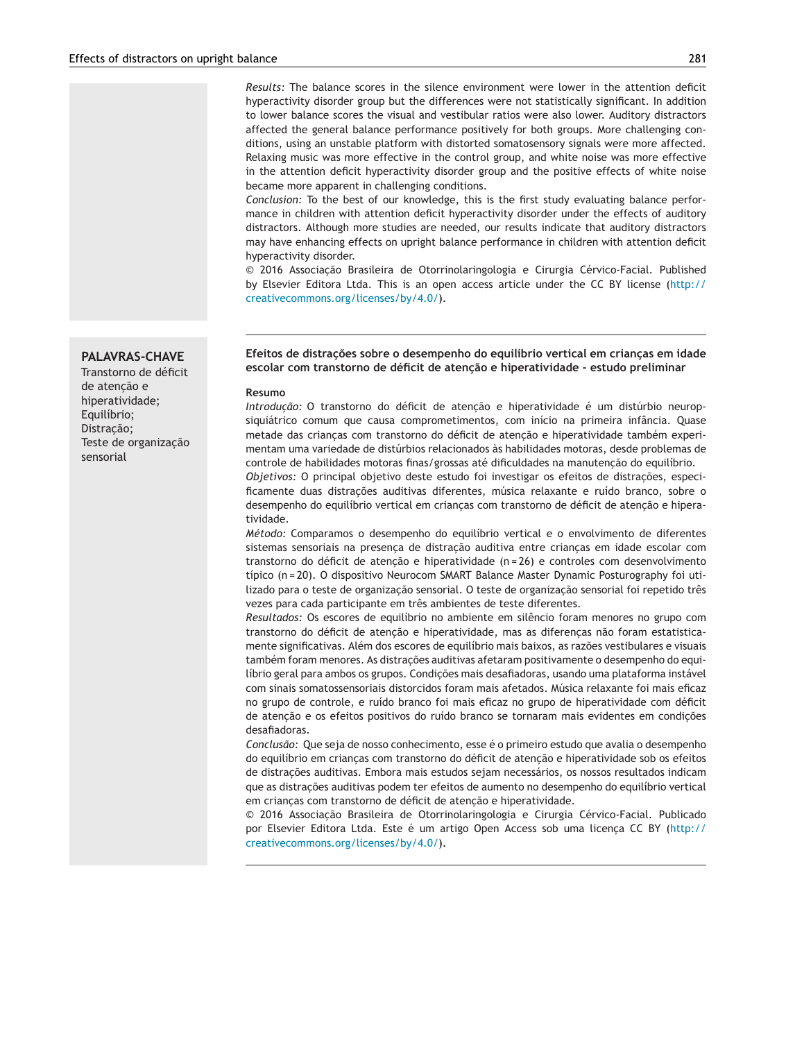*Results:* The balance scores in the silence environment were lower in the attention deficit hyperactivity disorder group but the differences were not statistically significant. In addition to lower balance scores the visual and vestibular ratios were also lower. Auditory distractors affected the general balance performance positively for both groups. More challenging conditions, using an unstable platform with distorted somatosensory signals were more affected. Relaxing music was more effective in the control group, and white noise was more effective in the attention deficit hyperactivity disorder group and the positive effects of white noise became more apparent in challenging conditions.

*Conclusion:* To the best of our knowledge, this is the first study evaluating balance performance in children with attention deficit hyperactivity disorder under the effects of auditory distractors. Although more studies are needed, our results indicate that auditory distractors may have enhancing effects on upright balance performance in children with attention deficit hyperactivity disorder.

 $© 2016 Associação Brasileira de Otorrinolaringologia e Cirurgia Cérvico-Facial. Published$ by Elsevier Editora Ltda. This is an open access article under the CC BY license ([http://](http://creativecommons.org/licenses/by/4.0/) [creativecommons.org/licenses/by/4.0/](http://creativecommons.org/licenses/by/4.0/)).

#### **Efeitos de distrac¸ões sobre o desempenho do equilíbrio vertical em crianc¸as em idade escolar com transtorno de déficit de atenc¸ão e hiperatividade - estudo preliminar**

#### **Resumo**

*Introdução:* O transtorno do déficit de atenção e hiperatividade é um distúrbio neuropsiquiátrico comum que causa comprometimentos, com início na primeira infância. Quase metade das crianças com transtorno do déficit de atenção e hiperatividade também experimentam uma variedade de distúrbios relacionados às habilidades motoras, desde problemas de controle de habilidades motoras finas/grossas até dificuldades na manutenção do equilíbrio.

*Objetivos:* O principal objetivo deste estudo foi investigar os efeitos de distracões, especificamente duas distrações auditivas diferentes, música relaxante e ruído branco, sobre o desempenho do equilíbrio vertical em crianças com transtorno de déficit de atenção e hiperatividade.

*Método:* Comparamos o desempenho do equilíbrio vertical e o envolvimento de diferentes sistemas sensoriais na presença de distração auditiva entre crianças em idade escolar com transtorno do déficit de atenção e hiperatividade (n = 26) e controles com desenvolvimento típico (n = 20). O dispositivo Neurocom SMART Balance Master Dynamic Posturography foi utilizado para o teste de organização sensorial. O teste de organização sensorial foi repetido três vezes para cada participante em três ambientes de teste diferentes.

*Resultados:* Os escores de equilíbrio no ambiente em silêncio foram menores no grupo com transtorno do déficit de atenção e hiperatividade, mas as diferenças não foram estatisticamente significativas. Além dos escores de equilíbrio mais baixos, as razões vestibulares e visuais também foram menores. As distracões auditivas afetaram positivamente o desempenho do equilíbrio geral para ambos os grupos. Condições mais desafiadoras, usando uma plataforma instável com sinais somatossensoriais distorcidos foram mais afetados. Música relaxante foi mais eficaz no grupo de controle, e ruído branco foi mais eficaz no grupo de hiperatividade com déficit de atenção e os efeitos positivos do ruído branco se tornaram mais evidentes em condições desafiadoras.

*Conclusão:* Que seja de nosso conhecimento, esse é o primeiro estudo que avalia o desempenho do equilíbrio em crianças com transtorno do déficit de atenção e hiperatividade sob os efeitos de distrações auditivas. Embora mais estudos sejam necessários, os nossos resultados indicam que as distrações auditivas podem ter efeitos de aumento no desempenho do equilíbrio vertical em crianças com transtorno de déficit de atenção e hiperatividade.

 $© 2016 Associação Brasileira de Otorrinolaringologia e Cirurgia Cérvico-Facial. Publicado$ por Elsevier Editora Ltda. Este é um artigo Open Access sob uma licença CC BY ([http://](http://creativecommons.org/licenses/by/4.0/) [creativecommons.org/licenses/by/4.0/](http://creativecommons.org/licenses/by/4.0/)).

# **PALAVRAS-CHAVE**

Transtorno de déficit de atenção e hiperatividade; Equilíbrio; Distracão; Teste de organização sensorial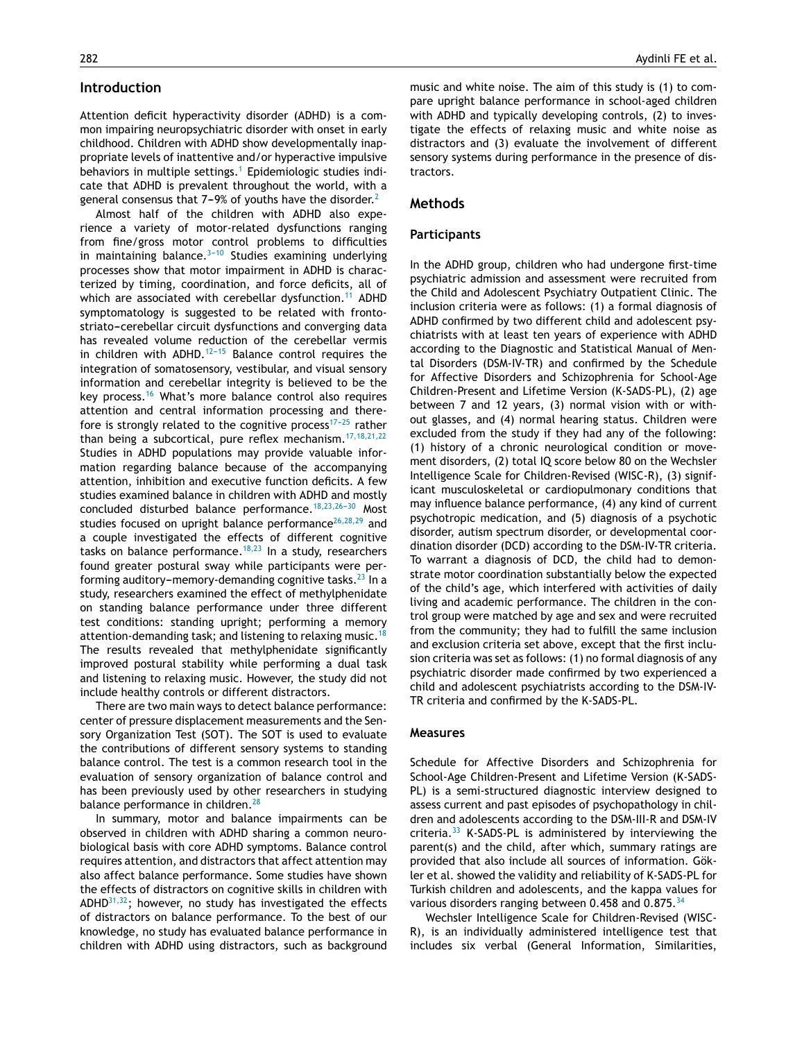## **Introduction**

Attention deficit hyperactivity disorder (ADHD) is a common impairing neuropsychiatric disorder with onset in early childhood. Children with ADHD show developmentally inappropriate levels of inattentive and/or hyperactive impulsive behaviors in multiple settings.<sup>[1](#page-8-0)</sup> Epidemiologic studies indicate that ADHD is prevalent throughout the world, with a general consensus that  $7-9%$  of youths have the disorder.<sup>[2](#page-8-0)</sup>

Almost half of the children with ADHD also experience a variety of motor-related dysfunctions ranging from fine/gross motor control problems to difficulties in maintaining balance. $3-10$  Studies examining underlying processes show that motor impairment in ADHD is characterized by timing, coordination, and force deficits, all of which are associated with cerebellar dysfunction.<sup>[11](#page-8-0)</sup> ADHD symptomatology is suggested to be related with frontostriato-cerebellar circuit dysfunctions and converging data has revealed volume reduction of the cerebellar vermis in children with ADHD.<sup>12-15</sup> Balance control requires the integration of somatosensory, vestibular, and visual sensory information and cerebellar integrity is believed to be the key process.[16](#page-8-0) What's more balance control also requires attention and central information processing and therefore is strongly related to the cognitive process<sup>17-25</sup> rather than being a subcortical, pure reflex mechanism. $17,18,21,22$ Studies in ADHD populations may provide valuable information regarding balance because of the accompanying attention, inhibition and executive function deficits. A few studies examined balance in children with ADHD and mostly concluded disturbed balance performance.<sup>18,23,26-30</sup> Most studies focused on upright balance performance<sup>[26,28,29](#page-8-0)</sup> and a couple investigated the effects of different cognitive tasks on balance performance.<sup>[18,23](#page-8-0)</sup> In a study, researchers found greater postural sway while participants were performing auditory-memory-demanding cognitive tasks. $^{23}$  $^{23}$  $^{23}$  In a study, researchers examined the effect of methylphenidate on standing balance performance under three different test conditions: standing upright; performing a memory attention-demanding task; and listening to relaxing music.<sup>1</sup> The results revealed that methylphenidate significantly improved postural stability while performing a dual task and listening to relaxing music. However, the study did not include healthy controls or different distractors.

There are two main ways to detect balance performance: center of pressure displacement measurements and the Sensory Organization Test (SOT). The SOT is used to evaluate the contributions of different sensory systems to standing balance control. The test is a common research tool in the evaluation of sensory organization of balance control and has been previously used by other researchers in studying balance performance in children.<sup>[28](#page-8-0)</sup>

In summary, motor and balance impairments can be observed in children with ADHD sharing a common neurobiological basis with core ADHD symptoms. Balance control requires attention, and distractors that affect attention may also affect balance performance. Some studies have shown the effects of distractors on cognitive skills in children with  $ADHD^{31,32}$ ; however, no study has investigated the effects of distractors on balance performance. To the best of our knowledge, no study has evaluated balance performance in children with ADHD using distractors, such as background music and white noise. The aim of this study is (1) to compare upright balance performance in school-aged children with ADHD and typically developing controls, (2) to investigate the effects of relaxing music and white noise as distractors and (3) evaluate the involvement of different sensory systems during performance in the presence of distractors.

#### **Methods**

#### **Participants**

In the ADHD group, children who had undergone first-time psychiatric admission and assessment were recruited from the Child and Adolescent Psychiatry Outpatient Clinic. The inclusion criteria were as follows: (1) a formal diagnosis of ADHD confirmed by two different child and adolescent psychiatrists with at least ten years of experience with ADHD according to the Diagnostic and Statistical Manual of Mental Disorders (DSM-IV-TR) and confirmed by the Schedule for Affective Disorders and Schizophrenia for School-Age Children-Present and Lifetime Version (K-SADS-PL), (2) age between 7 and 12 years, (3) normal vision with or without glasses, and (4) normal hearing status. Children were excluded from the study if they had any of the following: (1) history of a chronic neurological condition or movement disorders, (2) total IQ score below 80 on the Wechsler Intelligence Scale for Children-Revised (WISC-R), (3) significant musculoskeletal or cardiopulmonary conditions that may influence balance performance, (4) any kind of current psychotropic medication, and (5) diagnosis of a psychotic disorder, autism spectrum disorder, or developmental coordination disorder (DCD) according to the DSM-IV-TR criteria. To warrant a diagnosis of DCD, the child had to demonstrate motor coordination substantially below the expected of the child's age, which interfered with activities of daily living and academic performance. The children in the control group were matched by age and sex and were recruited from the community; they had to fulfill the same inclusion and exclusion criteria set above, except that the first inclusion criteria was set as follows: (1) no formal diagnosis of any psychiatric disorder made confirmed by two experienced a child and adolescent psychiatrists according to the DSM-IV-TR criteria and confirmed by the K-SADS-PL.

#### **Measures**

Schedule for Affective Disorders and Schizophrenia for School-Age Children-Present and Lifetime Version (K-SADS-PL) is a semi-structured diagnostic interview designed to assess current and past episodes of psychopathology in children and adolescents according to the DSM-III-R and DSM-IV criteria.[33](#page-8-0) K-SADS-PL is administered by interviewing the parent(s) and the child, after which, summary ratings are provided that also include all sources of information. Gökler et al. showed the validity and reliability of K-SADS-PL for Turkish children and adolescents, and the kappa values for various disorders ranging between 0.458 and 0.875.<sup>[34](#page-8-0)</sup>

Wechsler Intelligence Scale for Children-Revised (WISC-R), is an individually administered intelligence test that includes six verbal (General Information, Similarities,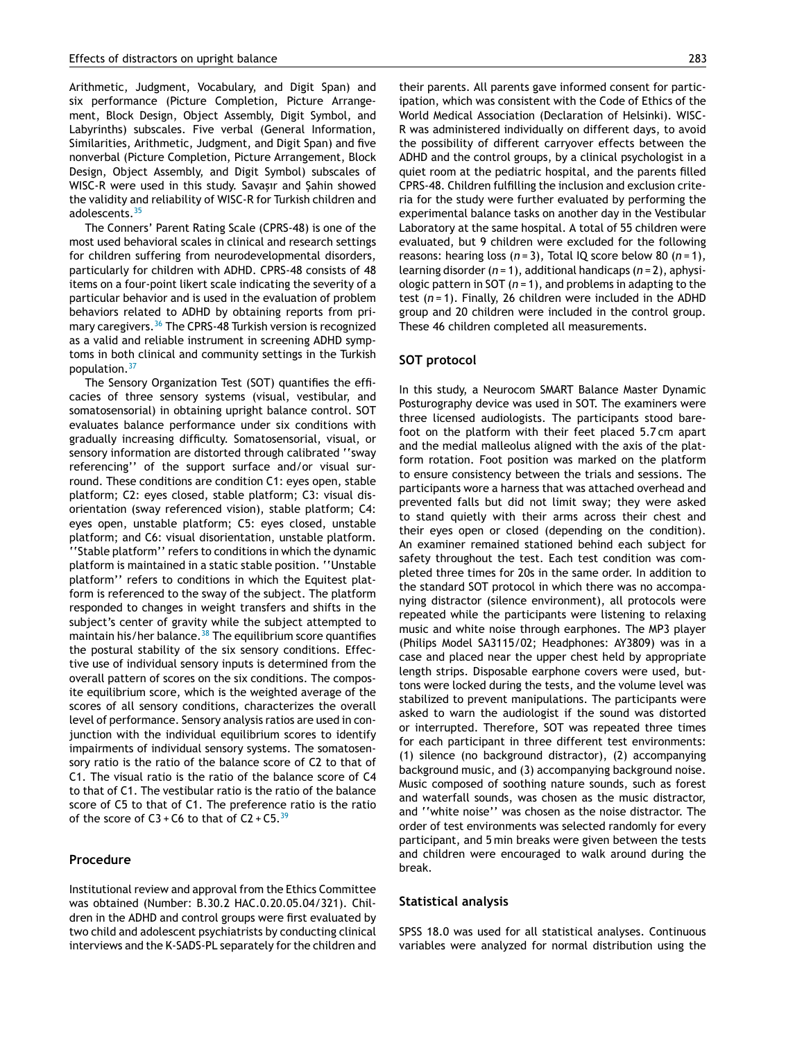Arithmetic, Judgment, Vocabulary, and Digit Span) and six performance (Picture Completion, Picture Arrangement, Block Design, Object Assembly, Digit Symbol, and Labyrinths) subscales. Five verbal (General Information, Similarities, Arithmetic, Judgment, and Digit Span) and five nonverbal (Picture Completion, Picture Arrangement, Block Design, Object Assembly, and Digit Symbol) subscales of WISC-R were used in this study. Savasır and Sahin showed the validity and reliability of WISC-R for Turkish children and adolescents.[35](#page-8-0)

The Conners' Parent Rating Scale (CPRS-48) is one of the most used behavioral scales in clinical and research settings for children suffering from neurodevelopmental disorders, particularly for children with ADHD. CPRS-48 consists of 48 items on a four-point likert scale indicating the severity of a particular behavior and is used in the evaluation of problem behaviors related to ADHD by obtaining reports from primary caregivers.[36](#page-8-0) The CPRS-48 Turkish version is recognized as a valid and reliable instrument in screening ADHD symptoms in both clinical and community settings in the Turkish population.[37](#page-9-0)

The Sensory Organization Test (SOT) quantifies the efficacies of three sensory systems (visual, vestibular, and somatosensorial) in obtaining upright balance control. SOT evaluates balance performance under six conditions with gradually increasing difficulty. Somatosensorial, visual, or sensory information are distorted through calibrated ''sway referencing'' of the support surface and/or visual surround. These conditions are condition C1: eyes open, stable platform; C2: eyes closed, stable platform; C3: visual disorientation (sway referenced vision), stable platform; C4: eyes open, unstable platform; C5: eyes closed, unstable platform; and C6: visual disorientation, unstable platform. ''Stable platform'' refers to conditions in which the dynamic platform is maintained in a static stable position. ''Unstable platform'' refers to conditions in which the Equitest platform is referenced to the sway of the subject. The platform responded to changes in weight transfers and shifts in the subject's center of gravity while the subject attempted to maintain his/her balance. $38$  The equilibrium score quantifies the postural stability of the six sensory conditions. Effective use of individual sensory inputs is determined from the overall pattern of scores on the six conditions. The composite equilibrium score, which is the weighted average of the scores of all sensory conditions, characterizes the overall level of performance. Sensory analysis ratios are used in conjunction with the individual equilibrium scores to identify impairments of individual sensory systems. The somatosensory ratio is the ratio of the balance score of C2 to that of C1. The visual ratio is the ratio of the balance score of C4 to that of C1. The vestibular ratio is the ratio of the balance score of C5 to that of C1. The preference ratio is the ratio of the score of  $C3 + C6$  to that of  $C2 + C5$ . <sup>[39](#page-9-0)</sup>

#### **Procedure**

Institutional review and approval from the Ethics Committee was obtained (Number: B.30.2 HAC.0.20.05.04/321). Children in the ADHD and control groups were first evaluated by two child and adolescent psychiatrists by conducting clinical interviews and the K-SADS-PL separately for the children and

their parents. All parents gave informed consent for participation, which was consistent with the Code of Ethics of the World Medical Association (Declaration of Helsinki). WISC-R was administered individually on different days, to avoid the possibility of different carryover effects between the ADHD and the control groups, by a clinical psychologist in a quiet room at the pediatric hospital, and the parents filled CPRS-48. Children fulfilling the inclusion and exclusion criteria for the study were further evaluated by performing the experimental balance tasks on another day in the Vestibular Laboratory at the same hospital. A total of 55 children were evaluated, but 9 children were excluded for the following reasons: hearing loss (*n* = 3), Total IQ score below 80 (*n* = 1), learning disorder (*n* = 1), additional handicaps (*n* = 2), aphysiologic pattern in SOT  $(n = 1)$ , and problems in adapting to the test (*n* = 1). Finally, 26 children were included in the ADHD group and 20 children were included in the control group. These 46 children completed all measurements.

#### **SOT protocol**

In this study, a Neurocom SMART Balance Master Dynamic Posturography device was used in SOT. The examiners were three licensed audiologists. The participants stood barefoot on the platform with their feet placed 5.7 cm apart and the medial malleolus aligned with the axis of the platform rotation. Foot position was marked on the platform to ensure consistency between the trials and sessions. The participants wore a harness that was attached overhead and prevented falls but did not limit sway; they were asked to stand quietly with their arms across their chest and their eyes open or closed (depending on the condition). An examiner remained stationed behind each subject for safety throughout the test. Each test condition was completed three times for 20s in the same order. In addition to the standard SOT protocol in which there was no accompanying distractor (silence environment), all protocols were repeated while the participants were listening to relaxing music and white noise through earphones. The MP3 player (Philips Model SA3115/02; Headphones: AY3809) was in a case and placed near the upper chest held by appropriate length strips. Disposable earphone covers were used, buttons were locked during the tests, and the volume level was stabilized to prevent manipulations. The participants were asked to warn the audiologist if the sound was distorted or interrupted. Therefore, SOT was repeated three times for each participant in three different test environments: (1) silence (no background distractor), (2) accompanying background music, and (3) accompanying background noise. Music composed of soothing nature sounds, such as forest and waterfall sounds, was chosen as the music distractor, and ''white noise'' was chosen as the noise distractor. The order of test environments was selected randomly for every participant, and 5 min breaks were given between the tests and children were encouraged to walk around during the break.

#### **Statistical analysis**

SPSS 18.0 was used for all statistical analyses. Continuous variables were analyzed for normal distribution using the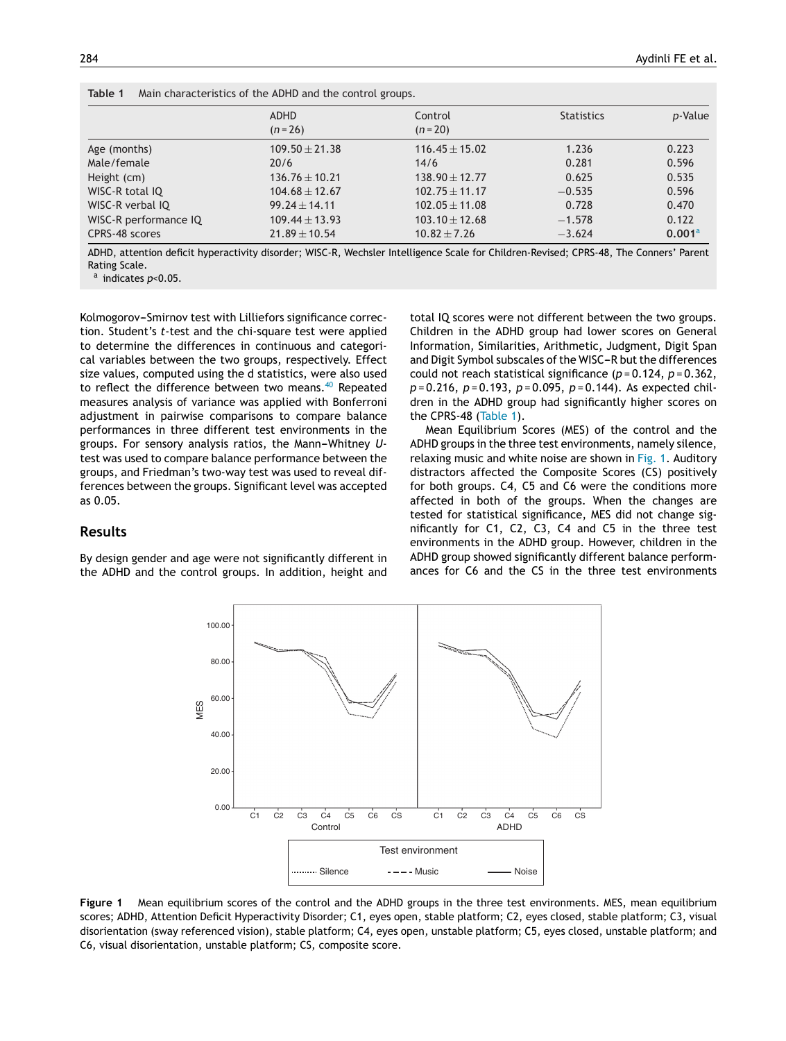|                       | ADHD               | Control            | <b>Statistics</b> | p-Value            |
|-----------------------|--------------------|--------------------|-------------------|--------------------|
|                       | $(n=26)$           | $(n=20)$           |                   |                    |
| Age (months)          | $109.50 + 21.38$   | $116.45 \pm 15.02$ | 1.236             | 0.223              |
| Male/female           | 20/6               | 14/6               | 0.281             | 0.596              |
| Height (cm)           | $136.76 \pm 10.21$ | $138.90 \pm 12.77$ | 0.625             | 0.535              |
| WISC-R total IQ       | $104.68 \pm 12.67$ | $102.75 \pm 11.17$ | $-0.535$          | 0.596              |
| WISC-R verbal IQ      | $99.24 \pm 14.11$  | $102.05 \pm 11.08$ | 0.728             | 0.470              |
| WISC-R performance IQ | $109.44 \pm 13.93$ | $103.10 \pm 12.68$ | $-1.578$          | 0.122              |
| CPRS-48 scores        | $21.89 \pm 10.54$  | $10.82 \pm 7.26$   | $-3.624$          | 0.001 <sup>a</sup> |

**Table 1** Main characteristics of the ADHD and the control groups.

ADHD, attention deficit hyperactivity disorder; WISC-R, Wechsler Intelligence Scale for Children-Revised; CPRS-48, The Conners' Parent Rating Scale.

<sup>a</sup> indicates *p*<0.05.

Kolmogorov-Smirnov test with Lilliefors significance correction. Student's *t*-test and the chi-square test were applied to determine the differences in continuous and categorical variables between the two groups, respectively. Effect size values, computed using the d statistics, were also used to reflect the difference between two means.<sup>[40](#page-9-0)</sup> Repeated measures analysis of variance was applied with Bonferroni adjustment in pairwise comparisons to compare balance performances in three different test environments in the groups. For sensory analysis ratios, the Mann-Whitney Utest was used to compare balance performance between the groups, and Friedman's two-way test was used to reveal differences between the groups. Significant level was accepted as 0.05.

total IQ scores were not different between the two groups. Children in the ADHD group had lower scores on General Information, Similarities, Arithmetic, Judgment, Digit Span and Digit Symbol subscales of the WISC-R but the differences could not reach statistical significance (*p* = 0.124, *p* = 0.362, *p* = 0.216, *p* = 0.193, *p* = 0.095, *p* = 0.144). As expected children in the ADHD group had significantly higher scores on the CPRS-48 (Table 1).

Mean Equilibrium Scores (MES) of the control and the ADHD groups in the three test environments, namely silence, relaxing music and white noise are shown in Fig. 1. Auditory distractors affected the Composite Scores (CS) positively for both groups. C4, C5 and C6 were the conditions more affected in both of the groups. When the changes are tested for statistical significance, MES did not change significantly for C1, C2, C3, C4 and C5 in the three test environments in the ADHD group. However, children in the ADHD group showed significantly different balance performances for C6 and the CS in the three test environments

# **Results**

By design gender and age were not significantly different in the ADHD and the control groups. In addition, height and



**Figure 1** Mean equilibrium scores of the control and the ADHD groups in the three test environments. MES, mean equilibrium scores; ADHD, Attention Deficit Hyperactivity Disorder; C1, eyes open, stable platform; C2, eyes closed, stable platform; C3, visual disorientation (sway referenced vision), stable platform; C4, eyes open, unstable platform; C5, eyes closed, unstable platform; and C6, visual disorientation, unstable platform; CS, composite score.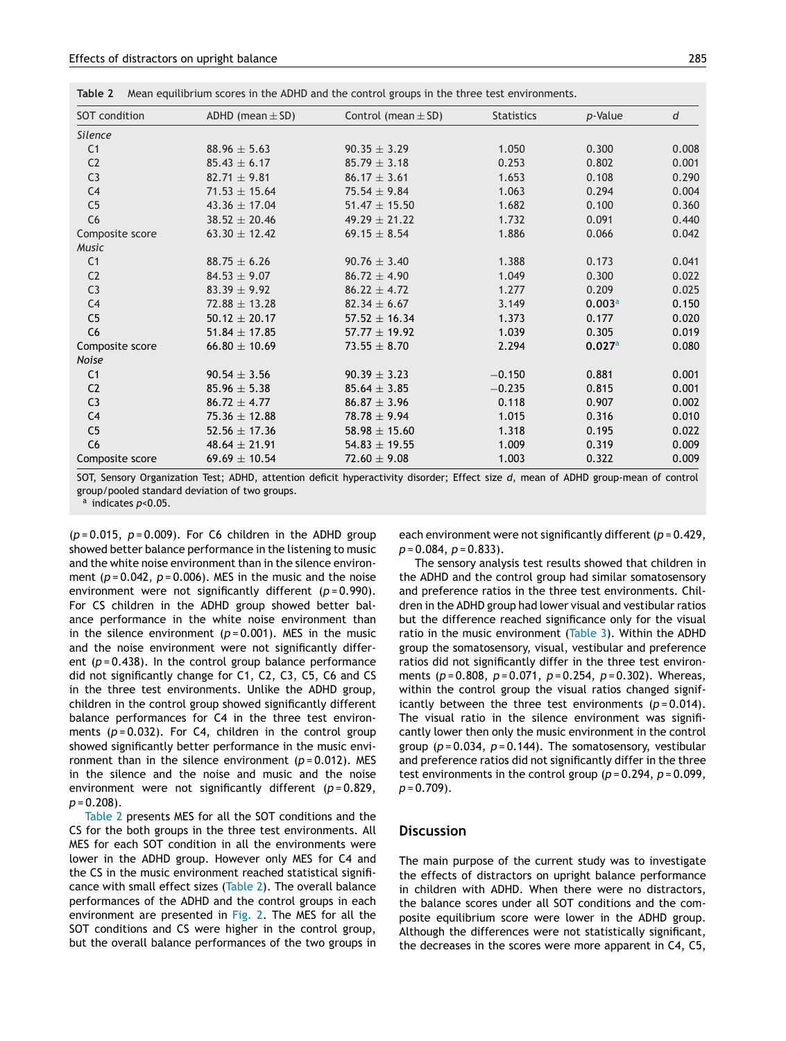| Table 2 |  | Mean equilibrium scores in the ADHD and the control groups in the three test environments. |  |  |  |  |
|---------|--|--------------------------------------------------------------------------------------------|--|--|--|--|
|---------|--|--------------------------------------------------------------------------------------------|--|--|--|--|

| SOT condition   | ADHD (mean $\pm$ SD) | Control (mean $\pm$ SD) | <b>Statistics</b> | p-Value | d     |
|-----------------|----------------------|-------------------------|-------------------|---------|-------|
| <b>Silence</b>  |                      |                         |                   |         |       |
| C <sub>1</sub>  | $88.96 \pm 5.63$     | $90.35 \pm 3.29$        | 1.050             | 0.300   | 0.008 |
| C <sub>2</sub>  | $85.43 \pm 6.17$     | $85.79 \pm 3.18$        | 0.253             | 0.802   | 0.001 |
| C <sub>3</sub>  | $82.71 \pm 9.81$     | $86.17 \pm 3.61$        | 1.653             | 0.108   | 0.290 |
| C <sub>4</sub>  | $71.53 \pm 15.64$    | $75.54 \pm 9.84$        | 1.063             | 0.294   | 0.004 |
| C <sub>5</sub>  | $43.36 \pm 17.04$    | $51.47 \pm 15.50$       | 1.682             | 0.100   | 0.360 |
| C6              | $38.52 \pm 20.46$    | $49.29 \pm 21.22$       | 1.732             | 0.091   | 0.440 |
| Composite score | $63.30 \pm 12.42$    | 69.15 $\pm$ 8.54        | 1.886             | 0.066   | 0.042 |
| Music           |                      |                         |                   |         |       |
| C <sub>1</sub>  | $88.75 \pm 6.26$     | $90.76 \pm 3.40$        | 1.388             | 0.173   | 0.041 |
| C <sub>2</sub>  | $84.53 \pm 9.07$     | $86.72 + 4.90$          | 1.049             | 0.300   | 0.022 |
| C <sub>3</sub>  | $83.39 \pm 9.92$     | $86.22 + 4.72$          | 1.277             | 0.209   | 0.025 |
| C <sub>4</sub>  | $72.88 \pm 13.28$    | $82.34 \pm 6.67$        | 3.149             | 0.003a  | 0.150 |
| C <sub>5</sub>  | $50.12 \pm 20.17$    | $57.52 \pm 16.34$       | 1.373             | 0.177   | 0.020 |
| C <sub>6</sub>  | 51.84 $\pm$ 17.85    | $57.77 \pm 19.92$       | 1.039             | 0.305   | 0.019 |
| Composite score | 66.80 $\pm$ 10.69    | $73.55 \pm 8.70$        | 2.294             | 0.027a  | 0.080 |
| Noise           |                      |                         |                   |         |       |
| C <sub>1</sub>  | $90.54 \pm 3.56$     | $90.39 \pm 3.23$        | $-0.150$          | 0.881   | 0.001 |
| C <sub>2</sub>  | $85.96 \pm 5.38$     | $85.64 \pm 3.85$        | $-0.235$          | 0.815   | 0.001 |
| C <sub>3</sub>  | $86.72 + 4.77$       | $86.87 + 3.96$          | 0.118             | 0.907   | 0.002 |
| C <sub>4</sub>  | $75.36 \pm 12.88$    | $78.78 \pm 9.94$        | 1.015             | 0.316   | 0.010 |
| C <sub>5</sub>  | 52.56 $\pm$ 17.36    | 58.98 $\pm$ 15.60       | 1.318             | 0.195   | 0.022 |
| C <sub>6</sub>  | $48.64 \pm 21.91$    | $54.83 \pm 19.55$       | 1.009             | 0.319   | 0.009 |
| Composite score | 69.69 $\pm$ 10.54    | $72.60 \pm 9.08$        | 1.003             | 0.322   | 0.009 |

SOT, Sensory Organization Test; ADHD, attention deficit hyperactivity disorder; Effect size *d*, mean of ADHD group-mean of control group/pooled standard deviation of two groups.

<sup>a</sup> indicates *p*<0.05.

(*p* = 0.015, *p* = 0.009). For C6 children in the ADHD group showed better balance performance in the listening to music and the white noise environment than in the silence environment  $(p=0.042, p=0.006)$ . MES in the music and the noise environment were not significantly different (*p* = 0.990). For CS children in the ADHD group showed better balance performance in the white noise environment than in the silence environment  $(p=0.001)$ . MES in the music and the noise environment were not significantly different  $(p=0.438)$ . In the control group balance performance did not significantly change for C1, C2, C3, C5, C6 and CS in the three test environments. Unlike the ADHD group, children in the control group showed significantly different balance performances for C4 in the three test environments (*p* = 0.032). For C4, children in the control group showed significantly better performance in the music environment than in the silence environment (*p* = 0.012). MES in the silence and the noise and music and the noise environment were not significantly different (*p* = 0.829, *p* = 0.208).

Table 2 presents MES for all the SOT conditions and the CS for the both groups in the three test environments. All MES for each SOT condition in all the environments were lower in the ADHD group. However only MES for C4 and the CS in the music environment reached statistical significance with small effect sizes (Table 2). The overall balance performances of the ADHD and the control groups in each environment are presented in [Fig.](#page-6-0) 2. The MES for all the SOT conditions and CS were higher in the control group, but the overall balance performances of the two groups in each environment were not significantly different (*p* = 0.429, *p* = 0.084, *p* = 0.833).

The sensory analysis test results showed that children in the ADHD and the control group had similar somatosensory and preference ratios in the three test environments. Children in the ADHD group had lower visual and vestibular ratios but the difference reached significance only for the visual ratio in the music environment [\(Table](#page-6-0) 3). Within the ADHD group the somatosensory, visual, vestibular and preference ratios did not significantly differ in the three test environments (*p* = 0.808, *p* = 0.071, *p* = 0.254, *p* = 0.302). Whereas, within the control group the visual ratios changed significantly between the three test environments  $(p=0.014)$ . The visual ratio in the silence environment was significantly lower then only the music environment in the control group (*p* = 0.034, *p* = 0.144). The somatosensory, vestibular and preference ratios did not significantly differ in the three test environments in the control group (*p* = 0.294, *p* = 0.099, *p* = 0.709).

## **Discussion**

The main purpose of the current study was to investigate the effects of distractors on upright balance performance in children with ADHD. When there were no distractors, the balance scores under all SOT conditions and the composite equilibrium score were lower in the ADHD group. Although the differences were not statistically significant, the decreases in the scores were more apparent in C4, C5,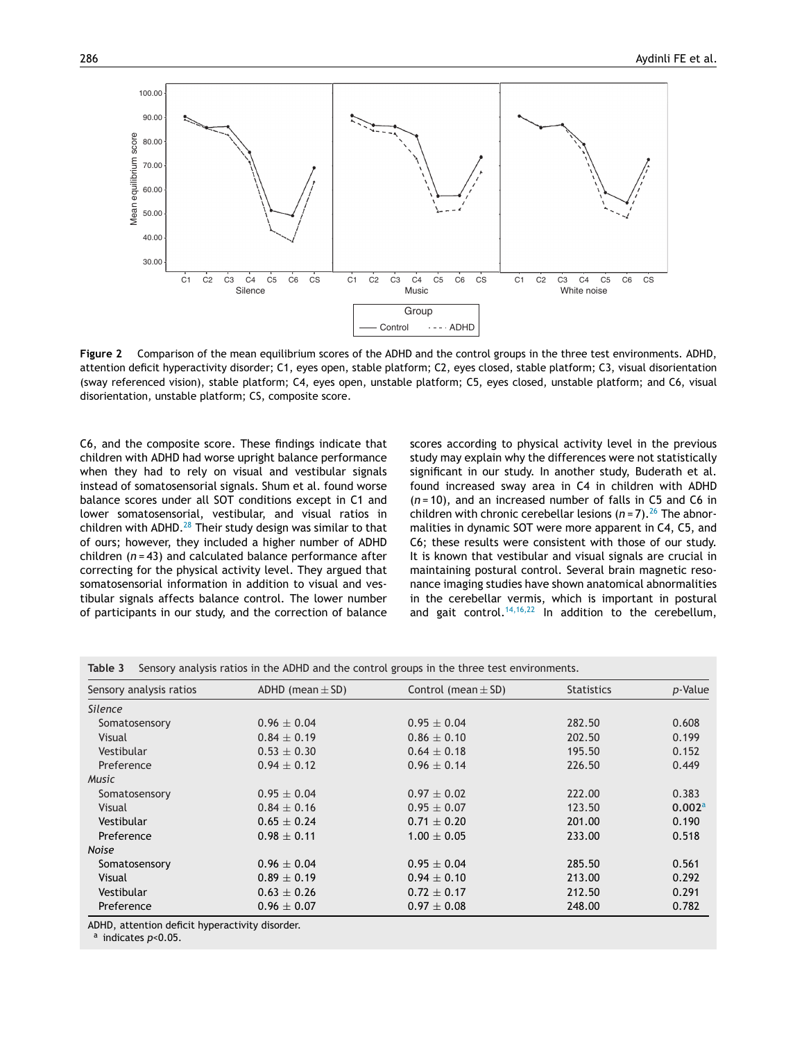<span id="page-6-0"></span>

**Figure 2** Comparison of the mean equilibrium scores of the ADHD and the control groups in the three test environments. ADHD, attention deficit hyperactivity disorder; C1, eyes open, stable platform; C2, eyes closed, stable platform; C3, visual disorientation (sway referenced vision), stable platform; C4, eyes open, unstable platform; C5, eyes closed, unstable platform; and C6, visual disorientation, unstable platform; CS, composite score.

C6, and the composite score. These findings indicate that children with ADHD had worse upright balance performance when they had to rely on visual and vestibular signals instead of somatosensorial signals. Shum et al. found worse balance scores under all SOT conditions except in C1 and lower somatosensorial, vestibular, and visual ratios in children with ADHD. $^{28}$  $^{28}$  $^{28}$  Their study design was similar to that of ours; however, they included a higher number of ADHD children (*n* = 43) and calculated balance performance after correcting for the physical activity level. They argued that somatosensorial information in addition to visual and vestibular signals affects balance control. The lower number of participants in our study, and the correction of balance

scores according to physical activity level in the previous study may explain why the differences were not statistically significant in our study. In another study, Buderath et al. found increased sway area in C4 in children with ADHD (*n* = 10), and an increased number of falls in C5 and C6 in children with chronic cerebellar lesions  $(n=7)$ .<sup>[26](#page-8-0)</sup> The abnormalities in dynamic SOT were more apparent in C4, C5, and C6; these results were consistent with those of our study. It is known that vestibular and visual signals are crucial in maintaining postural control. Several brain magnetic resonance imaging studies have shown anatomical abnormalities in the cerebellar vermis, which is important in postural and gait control.<sup>[14,16,22](#page-8-0)</sup> In addition to the cerebellum,

| Sensory analysis ratios | ADHD (mean $\pm$ SD) | Control (mean $\pm$ SD) | <b>Statistics</b> | p-Value            |
|-------------------------|----------------------|-------------------------|-------------------|--------------------|
| <b>Silence</b>          |                      |                         |                   |                    |
| Somatosensory           | $0.96 \pm 0.04$      | $0.95 \pm 0.04$         | 282.50            | 0.608              |
| Visual                  | $0.84 \pm 0.19$      | $0.86 \pm 0.10$         | 202.50            | 0.199              |
| Vestibular              | $0.53 \pm 0.30$      | $0.64 \pm 0.18$         | 195.50            | 0.152              |
| Preference              | $0.94 \pm 0.12$      | $0.96 \pm 0.14$         | 226.50            | 0.449              |
| <b>Music</b>            |                      |                         |                   |                    |
| Somatosensory           | $0.95 \pm 0.04$      | $0.97 \pm 0.02$         | 222.00            | 0.383              |
| Visual                  | $0.84 \pm 0.16$      | $0.95 \pm 0.07$         | 123.50            | 0.002 <sup>a</sup> |
| Vestibular              | $0.65 \pm 0.24$      | $0.71 \pm 0.20$         | 201.00            | 0.190              |
| Preference              | $0.98 \pm 0.11$      | $1.00 \pm 0.05$         | 233.00            | 0.518              |
| Noise                   |                      |                         |                   |                    |
| Somatosensory           | $0.96 \pm 0.04$      | $0.95 \pm 0.04$         | 285.50            | 0.561              |
| Visual                  | $0.89 \pm 0.19$      | $0.94 \pm 0.10$         | 213.00            | 0.292              |
| Vestibular              | $0.63 \pm 0.26$      | $0.72 \pm 0.17$         | 212.50            | 0.291              |
| Preference              | $0.96 \pm 0.07$      | $0.97 \pm 0.08$         | 248.00            | 0.782              |

<sup>a</sup> indicates *p*<0.05.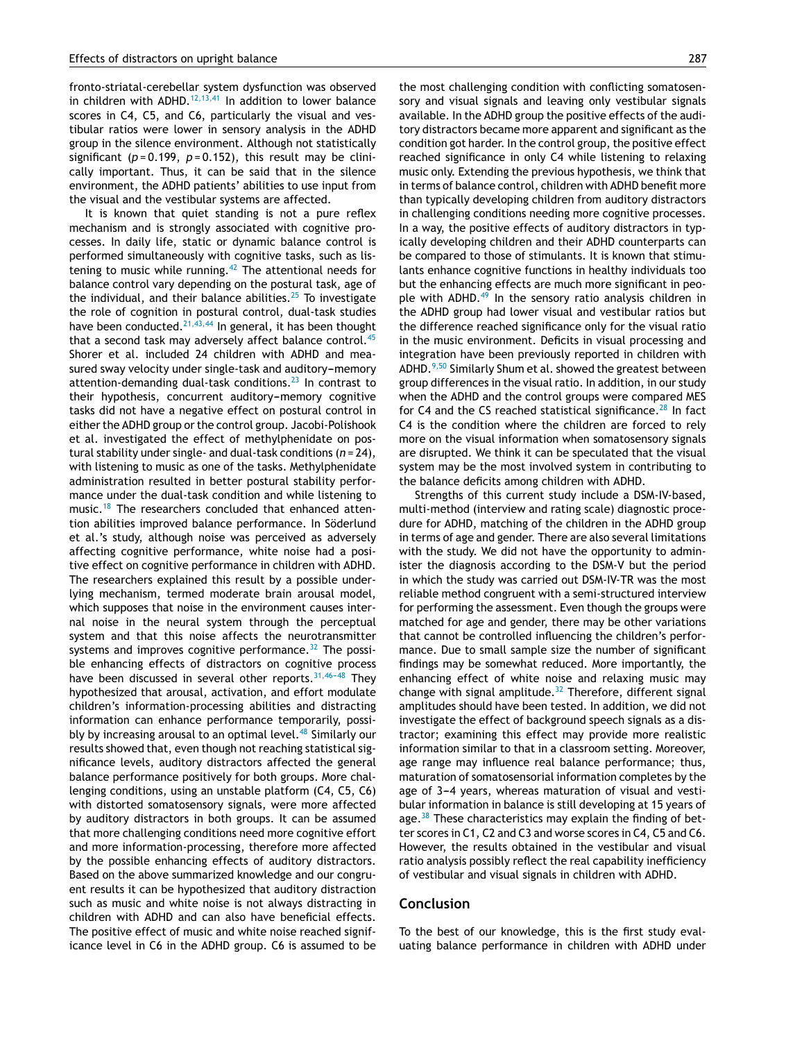fronto-striatal-cerebellar system dysfunction was observed in children with ADHD.<sup>[12,13,41](#page-8-0)</sup> In addition to lower balance scores in C4, C5, and C6, particularly the visual and vestibular ratios were lower in sensory analysis in the ADHD group in the silence environment. Although not statistically significant ( $p = 0.199$ ,  $p = 0.152$ ), this result may be clinically important. Thus, it can be said that in the silence environment, the ADHD patients' abilities to use input from the visual and the vestibular systems are affected.

It is known that quiet standing is not a pure reflex mechanism and is strongly associated with cognitive processes. In daily life, static or dynamic balance control is performed simultaneously with cognitive tasks, such as lis-tening to music while running.<sup>[42](#page-9-0)</sup> The attentional needs for balance control vary depending on the postural task, age of the individual, and their balance abilities. $25$  To investigate the role of cognition in postural control, dual-task studies have been conducted.<sup>[21,43,44](#page-8-0)</sup> In general, it has been thought that a second task may adversely affect balance control.<sup>[45](#page-9-0)</sup> Shorer et al. included 24 children with ADHD and measured sway velocity under single-task and auditory-memory attention-demanding dual-task conditions.<sup>[23](#page-8-0)</sup> In contrast to their hypothesis, concurrent auditory-memory cognitive tasks did not have a negative effect on postural control in either the ADHD group or the control group. Jacobi-Polishook et al. investigated the effect of methylphenidate on postural stability under single- and dual-task conditions (*n* = 24), with listening to music as one of the tasks. Methylphenidate administration resulted in better postural stability performance under the dual-task condition and while listening to music.<sup>[18](#page-8-0)</sup> The researchers concluded that enhanced attention abilities improved balance performance. In Söderlund et al.'s study, although noise was perceived as adversely affecting cognitive performance, white noise had a positive effect on cognitive performance in children with ADHD. The researchers explained this result by a possible underlying mechanism, termed moderate brain arousal model, which supposes that noise in the environment causes internal noise in the neural system through the perceptual system and that this noise affects the neurotransmitter systems and improves cognitive performance. $32$  The possible enhancing effects of distractors on cognitive process have been discussed in several other reports. $31,46-48$  They hypothesized that arousal, activation, and effort modulate children's information-processing abilities and distracting information can enhance performance temporarily, possi-bly by increasing arousal to an optimal level.<sup>[48](#page-9-0)</sup> Similarly our results showed that, even though not reaching statistical significance levels, auditory distractors affected the general balance performance positively for both groups. More challenging conditions, using an unstable platform (C4, C5, C6) with distorted somatosensory signals, were more affected by auditory distractors in both groups. It can be assumed that more challenging conditions need more cognitive effort and more information-processing, therefore more affected by the possible enhancing effects of auditory distractors. Based on the above summarized knowledge and our congruent results it can be hypothesized that auditory distraction such as music and white noise is not always distracting in children with ADHD and can also have beneficial effects. The positive effect of music and white noise reached significance level in C6 in the ADHD group. C6 is assumed to be the most challenging condition with conflicting somatosensory and visual signals and leaving only vestibular signals available. In the ADHD group the positive effects of the auditory distractors became more apparent and significant as the condition got harder. In the control group, the positive effect reached significance in only C4 while listening to relaxing music only. Extending the previous hypothesis, we think that in terms of balance control, children with ADHD benefit more than typically developing children from auditory distractors in challenging conditions needing more cognitive processes. In a way, the positive effects of auditory distractors in typically developing children and their ADHD counterparts can be compared to those of stimulants. It is known that stimulants enhance cognitive functions in healthy individuals too but the enhancing effects are much more significant in peo-ple with ADHD.<sup>[49](#page-9-0)</sup> In the sensory ratio analysis children in the ADHD group had lower visual and vestibular ratios but the difference reached significance only for the visual ratio in the music environment. Deficits in visual processing and integration have been previously reported in children with ADHD.[9,50](#page-8-0) Similarly Shum et al. showed the greatest between group differences in the visual ratio. In addition, in our study when the ADHD and the control groups were compared MES for C4 and the CS reached statistical significance.<sup>[28](#page-8-0)</sup> In fact C4 is the condition where the children are forced to rely more on the visual information when somatosensory signals are disrupted. We think it can be speculated that the visual system may be the most involved system in contributing to the balance deficits among children with ADHD.

Strengths of this current study include a DSM-IV-based, multi-method (interview and rating scale) diagnostic procedure for ADHD, matching of the children in the ADHD group in terms of age and gender. There are also several limitations with the study. We did not have the opportunity to administer the diagnosis according to the DSM-V but the period in which the study was carried out DSM-IV-TR was the most reliable method congruent with a semi-structured interview for performing the assessment. Even though the groups were matched for age and gender, there may be other variations that cannot be controlled influencing the children's performance. Due to small sample size the number of significant findings may be somewhat reduced. More importantly, the enhancing effect of white noise and relaxing music may change with signal amplitude. $32$  Therefore, different signal amplitudes should have been tested. In addition, we did not investigate the effect of background speech signals as a distractor; examining this effect may provide more realistic information similar to that in a classroom setting. Moreover, age range may influence real balance performance; thus, maturation of somatosensorial information completes by the age of 3-4 years, whereas maturation of visual and vestibular information in balance is still developing at 15 years of age. $38$  These characteristics may explain the finding of better scores in C1, C2 and C3 and worse scores in C4, C5 and C6. However, the results obtained in the vestibular and visual ratio analysis possibly reflect the real capability inefficiency of vestibular and visual signals in children with ADHD.

## **Conclusion**

To the best of our knowledge, this is the first study evaluating balance performance in children with ADHD under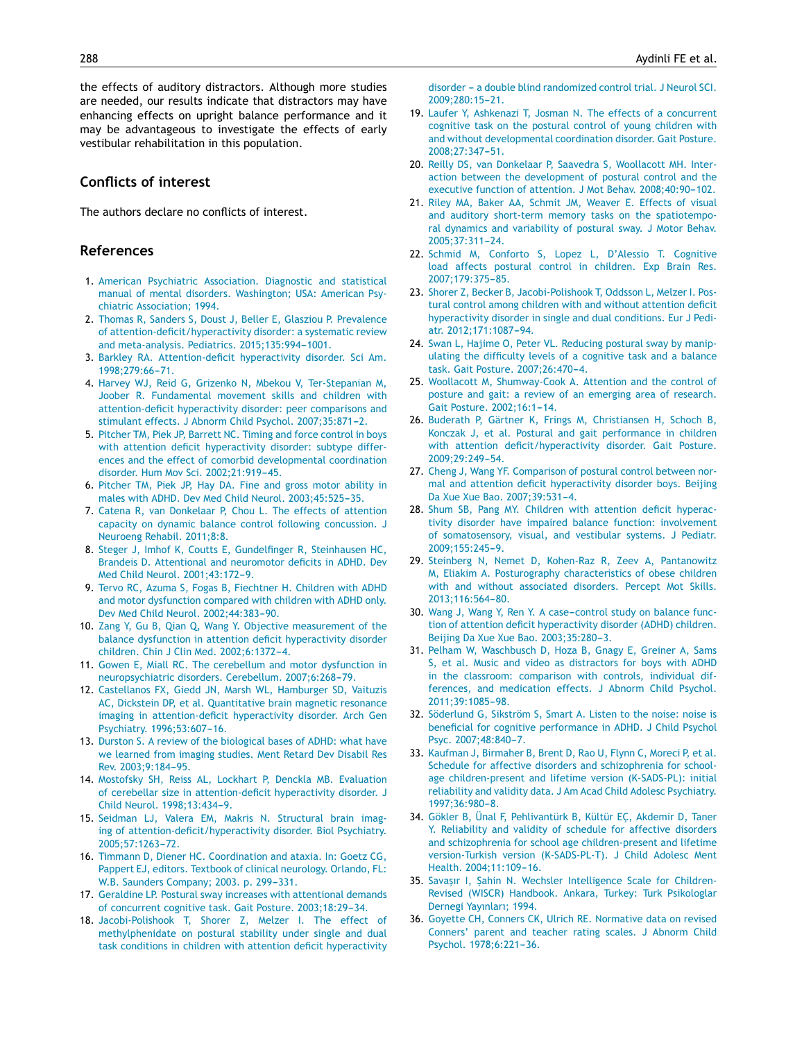<span id="page-8-0"></span>the effects of auditory distractors. Although more studies are needed, our results indicate that distractors may have enhancing effects on upright balance performance and it may be advantageous to investigate the effects of early vestibular rehabilitation in this population.

# **Conflicts of interest**

The authors declare no conflicts of interest.

# **References**

- 1. [American](http://refhub.elsevier.com/S1808-8694(16)30226-9/sbref0255) [Psychiatric](http://refhub.elsevier.com/S1808-8694(16)30226-9/sbref0255) [Association.](http://refhub.elsevier.com/S1808-8694(16)30226-9/sbref0255) [Diagnostic](http://refhub.elsevier.com/S1808-8694(16)30226-9/sbref0255) [and](http://refhub.elsevier.com/S1808-8694(16)30226-9/sbref0255) [statistical](http://refhub.elsevier.com/S1808-8694(16)30226-9/sbref0255) [manual](http://refhub.elsevier.com/S1808-8694(16)30226-9/sbref0255) [of](http://refhub.elsevier.com/S1808-8694(16)30226-9/sbref0255) [mental](http://refhub.elsevier.com/S1808-8694(16)30226-9/sbref0255) [disorders.](http://refhub.elsevier.com/S1808-8694(16)30226-9/sbref0255) [Washington;](http://refhub.elsevier.com/S1808-8694(16)30226-9/sbref0255) [USA:](http://refhub.elsevier.com/S1808-8694(16)30226-9/sbref0255) [American](http://refhub.elsevier.com/S1808-8694(16)30226-9/sbref0255) [Psy](http://refhub.elsevier.com/S1808-8694(16)30226-9/sbref0255)[chiatric](http://refhub.elsevier.com/S1808-8694(16)30226-9/sbref0255) [Association;](http://refhub.elsevier.com/S1808-8694(16)30226-9/sbref0255) [1994.](http://refhub.elsevier.com/S1808-8694(16)30226-9/sbref0255)
- 2. [Thomas](http://refhub.elsevier.com/S1808-8694(16)30226-9/sbref0260) [R,](http://refhub.elsevier.com/S1808-8694(16)30226-9/sbref0260) [Sanders](http://refhub.elsevier.com/S1808-8694(16)30226-9/sbref0260) [S,](http://refhub.elsevier.com/S1808-8694(16)30226-9/sbref0260) [Doust](http://refhub.elsevier.com/S1808-8694(16)30226-9/sbref0260) [J,](http://refhub.elsevier.com/S1808-8694(16)30226-9/sbref0260) [Beller](http://refhub.elsevier.com/S1808-8694(16)30226-9/sbref0260) [E,](http://refhub.elsevier.com/S1808-8694(16)30226-9/sbref0260) [Glasziou](http://refhub.elsevier.com/S1808-8694(16)30226-9/sbref0260) [P.](http://refhub.elsevier.com/S1808-8694(16)30226-9/sbref0260) [Prevalence](http://refhub.elsevier.com/S1808-8694(16)30226-9/sbref0260) [of](http://refhub.elsevier.com/S1808-8694(16)30226-9/sbref0260) [attention-deficit/hyperactivity](http://refhub.elsevier.com/S1808-8694(16)30226-9/sbref0260) [disorder:](http://refhub.elsevier.com/S1808-8694(16)30226-9/sbref0260) [a](http://refhub.elsevier.com/S1808-8694(16)30226-9/sbref0260) [systematic](http://refhub.elsevier.com/S1808-8694(16)30226-9/sbref0260) [review](http://refhub.elsevier.com/S1808-8694(16)30226-9/sbref0260) [and](http://refhub.elsevier.com/S1808-8694(16)30226-9/sbref0260) [meta-analysis.](http://refhub.elsevier.com/S1808-8694(16)30226-9/sbref0260) [Pediatrics.](http://refhub.elsevier.com/S1808-8694(16)30226-9/sbref0260) [2015;135:994-](http://refhub.elsevier.com/S1808-8694(16)30226-9/sbref0260)[1001.](http://refhub.elsevier.com/S1808-8694(16)30226-9/sbref0260)
- 3. [Barkley](http://refhub.elsevier.com/S1808-8694(16)30226-9/sbref0265) [RA.](http://refhub.elsevier.com/S1808-8694(16)30226-9/sbref0265) [Attention-deficit](http://refhub.elsevier.com/S1808-8694(16)30226-9/sbref0265) [hyperactivity](http://refhub.elsevier.com/S1808-8694(16)30226-9/sbref0265) [disorder.](http://refhub.elsevier.com/S1808-8694(16)30226-9/sbref0265) [Sci](http://refhub.elsevier.com/S1808-8694(16)30226-9/sbref0265) [Am.](http://refhub.elsevier.com/S1808-8694(16)30226-9/sbref0265) [1998;279:66](http://refhub.elsevier.com/S1808-8694(16)30226-9/sbref0265)-[71.](http://refhub.elsevier.com/S1808-8694(16)30226-9/sbref0265)
- 4. [Harvey](http://refhub.elsevier.com/S1808-8694(16)30226-9/sbref0270) [WJ,](http://refhub.elsevier.com/S1808-8694(16)30226-9/sbref0270) [Reid](http://refhub.elsevier.com/S1808-8694(16)30226-9/sbref0270) [G,](http://refhub.elsevier.com/S1808-8694(16)30226-9/sbref0270) [Grizenko](http://refhub.elsevier.com/S1808-8694(16)30226-9/sbref0270) [N,](http://refhub.elsevier.com/S1808-8694(16)30226-9/sbref0270) [Mbekou](http://refhub.elsevier.com/S1808-8694(16)30226-9/sbref0270) [V,](http://refhub.elsevier.com/S1808-8694(16)30226-9/sbref0270) [Ter-Stepanian](http://refhub.elsevier.com/S1808-8694(16)30226-9/sbref0270) [M,](http://refhub.elsevier.com/S1808-8694(16)30226-9/sbref0270) [Joober](http://refhub.elsevier.com/S1808-8694(16)30226-9/sbref0270) [R.](http://refhub.elsevier.com/S1808-8694(16)30226-9/sbref0270) [Fundamental](http://refhub.elsevier.com/S1808-8694(16)30226-9/sbref0270) [movement](http://refhub.elsevier.com/S1808-8694(16)30226-9/sbref0270) [skills](http://refhub.elsevier.com/S1808-8694(16)30226-9/sbref0270) [and](http://refhub.elsevier.com/S1808-8694(16)30226-9/sbref0270) [children](http://refhub.elsevier.com/S1808-8694(16)30226-9/sbref0270) [with](http://refhub.elsevier.com/S1808-8694(16)30226-9/sbref0270) [attention-deficit](http://refhub.elsevier.com/S1808-8694(16)30226-9/sbref0270) [hyperactivity](http://refhub.elsevier.com/S1808-8694(16)30226-9/sbref0270) [disorder:](http://refhub.elsevier.com/S1808-8694(16)30226-9/sbref0270) [peer](http://refhub.elsevier.com/S1808-8694(16)30226-9/sbref0270) [comparisons](http://refhub.elsevier.com/S1808-8694(16)30226-9/sbref0270) [and](http://refhub.elsevier.com/S1808-8694(16)30226-9/sbref0270) [stimulant](http://refhub.elsevier.com/S1808-8694(16)30226-9/sbref0270) [effects.](http://refhub.elsevier.com/S1808-8694(16)30226-9/sbref0270) [J](http://refhub.elsevier.com/S1808-8694(16)30226-9/sbref0270) [Abnorm](http://refhub.elsevier.com/S1808-8694(16)30226-9/sbref0270) [Child](http://refhub.elsevier.com/S1808-8694(16)30226-9/sbref0270) [Psychol.](http://refhub.elsevier.com/S1808-8694(16)30226-9/sbref0270) 2007;35:871-2.
- 5. [Pitcher](http://refhub.elsevier.com/S1808-8694(16)30226-9/sbref0275) [TM,](http://refhub.elsevier.com/S1808-8694(16)30226-9/sbref0275) [Piek](http://refhub.elsevier.com/S1808-8694(16)30226-9/sbref0275) [JP,](http://refhub.elsevier.com/S1808-8694(16)30226-9/sbref0275) [Barrett](http://refhub.elsevier.com/S1808-8694(16)30226-9/sbref0275) [NC.](http://refhub.elsevier.com/S1808-8694(16)30226-9/sbref0275) [Timing](http://refhub.elsevier.com/S1808-8694(16)30226-9/sbref0275) [and](http://refhub.elsevier.com/S1808-8694(16)30226-9/sbref0275) [force](http://refhub.elsevier.com/S1808-8694(16)30226-9/sbref0275) [control](http://refhub.elsevier.com/S1808-8694(16)30226-9/sbref0275) [in](http://refhub.elsevier.com/S1808-8694(16)30226-9/sbref0275) [boys](http://refhub.elsevier.com/S1808-8694(16)30226-9/sbref0275) [with](http://refhub.elsevier.com/S1808-8694(16)30226-9/sbref0275) [attention](http://refhub.elsevier.com/S1808-8694(16)30226-9/sbref0275) [deficit](http://refhub.elsevier.com/S1808-8694(16)30226-9/sbref0275) [hyperactivity](http://refhub.elsevier.com/S1808-8694(16)30226-9/sbref0275) [disorder:](http://refhub.elsevier.com/S1808-8694(16)30226-9/sbref0275) [subtype](http://refhub.elsevier.com/S1808-8694(16)30226-9/sbref0275) [differ](http://refhub.elsevier.com/S1808-8694(16)30226-9/sbref0275)[ences](http://refhub.elsevier.com/S1808-8694(16)30226-9/sbref0275) [and](http://refhub.elsevier.com/S1808-8694(16)30226-9/sbref0275) [the](http://refhub.elsevier.com/S1808-8694(16)30226-9/sbref0275) [effect](http://refhub.elsevier.com/S1808-8694(16)30226-9/sbref0275) [of](http://refhub.elsevier.com/S1808-8694(16)30226-9/sbref0275) [comorbid](http://refhub.elsevier.com/S1808-8694(16)30226-9/sbref0275) [developmental](http://refhub.elsevier.com/S1808-8694(16)30226-9/sbref0275) [coordination](http://refhub.elsevier.com/S1808-8694(16)30226-9/sbref0275) [disorder.](http://refhub.elsevier.com/S1808-8694(16)30226-9/sbref0275) [Hum](http://refhub.elsevier.com/S1808-8694(16)30226-9/sbref0275) [Mov](http://refhub.elsevier.com/S1808-8694(16)30226-9/sbref0275) [Sci.](http://refhub.elsevier.com/S1808-8694(16)30226-9/sbref0275) 2002;21:919-45.
- 6. [Pitcher](http://refhub.elsevier.com/S1808-8694(16)30226-9/sbref0280) [TM,](http://refhub.elsevier.com/S1808-8694(16)30226-9/sbref0280) [Piek](http://refhub.elsevier.com/S1808-8694(16)30226-9/sbref0280) [JP,](http://refhub.elsevier.com/S1808-8694(16)30226-9/sbref0280) [Hay](http://refhub.elsevier.com/S1808-8694(16)30226-9/sbref0280) [DA.](http://refhub.elsevier.com/S1808-8694(16)30226-9/sbref0280) [Fine](http://refhub.elsevier.com/S1808-8694(16)30226-9/sbref0280) [and](http://refhub.elsevier.com/S1808-8694(16)30226-9/sbref0280) [gross](http://refhub.elsevier.com/S1808-8694(16)30226-9/sbref0280) [motor](http://refhub.elsevier.com/S1808-8694(16)30226-9/sbref0280) [ability](http://refhub.elsevier.com/S1808-8694(16)30226-9/sbref0280) [in](http://refhub.elsevier.com/S1808-8694(16)30226-9/sbref0280) [males](http://refhub.elsevier.com/S1808-8694(16)30226-9/sbref0280) [with](http://refhub.elsevier.com/S1808-8694(16)30226-9/sbref0280) [ADHD.](http://refhub.elsevier.com/S1808-8694(16)30226-9/sbref0280) [Dev](http://refhub.elsevier.com/S1808-8694(16)30226-9/sbref0280) [Med](http://refhub.elsevier.com/S1808-8694(16)30226-9/sbref0280) [Child](http://refhub.elsevier.com/S1808-8694(16)30226-9/sbref0280) [Neurol.](http://refhub.elsevier.com/S1808-8694(16)30226-9/sbref0280) 2003;45:525-35.
- 7. [Catena](http://refhub.elsevier.com/S1808-8694(16)30226-9/sbref0285) [R,](http://refhub.elsevier.com/S1808-8694(16)30226-9/sbref0285) [van](http://refhub.elsevier.com/S1808-8694(16)30226-9/sbref0285) [Donkelaar](http://refhub.elsevier.com/S1808-8694(16)30226-9/sbref0285) [P,](http://refhub.elsevier.com/S1808-8694(16)30226-9/sbref0285) [Chou](http://refhub.elsevier.com/S1808-8694(16)30226-9/sbref0285) [L.](http://refhub.elsevier.com/S1808-8694(16)30226-9/sbref0285) [The](http://refhub.elsevier.com/S1808-8694(16)30226-9/sbref0285) [effects](http://refhub.elsevier.com/S1808-8694(16)30226-9/sbref0285) [of](http://refhub.elsevier.com/S1808-8694(16)30226-9/sbref0285) [attention](http://refhub.elsevier.com/S1808-8694(16)30226-9/sbref0285) [capacity](http://refhub.elsevier.com/S1808-8694(16)30226-9/sbref0285) [on](http://refhub.elsevier.com/S1808-8694(16)30226-9/sbref0285) [dynamic](http://refhub.elsevier.com/S1808-8694(16)30226-9/sbref0285) [balance](http://refhub.elsevier.com/S1808-8694(16)30226-9/sbref0285) [control](http://refhub.elsevier.com/S1808-8694(16)30226-9/sbref0285) [following](http://refhub.elsevier.com/S1808-8694(16)30226-9/sbref0285) [concussion.](http://refhub.elsevier.com/S1808-8694(16)30226-9/sbref0285) [J](http://refhub.elsevier.com/S1808-8694(16)30226-9/sbref0285) [Neuroeng](http://refhub.elsevier.com/S1808-8694(16)30226-9/sbref0285) [Rehabil.](http://refhub.elsevier.com/S1808-8694(16)30226-9/sbref0285) [2011;8:8.](http://refhub.elsevier.com/S1808-8694(16)30226-9/sbref0285)
- 8. [Steger](http://refhub.elsevier.com/S1808-8694(16)30226-9/sbref0290) [J,](http://refhub.elsevier.com/S1808-8694(16)30226-9/sbref0290) [Imhof](http://refhub.elsevier.com/S1808-8694(16)30226-9/sbref0290) [K,](http://refhub.elsevier.com/S1808-8694(16)30226-9/sbref0290) [Coutts](http://refhub.elsevier.com/S1808-8694(16)30226-9/sbref0290) [E,](http://refhub.elsevier.com/S1808-8694(16)30226-9/sbref0290) [Gundelfinger](http://refhub.elsevier.com/S1808-8694(16)30226-9/sbref0290) [R,](http://refhub.elsevier.com/S1808-8694(16)30226-9/sbref0290) [Steinhausen](http://refhub.elsevier.com/S1808-8694(16)30226-9/sbref0290) [HC,](http://refhub.elsevier.com/S1808-8694(16)30226-9/sbref0290) [Brandeis](http://refhub.elsevier.com/S1808-8694(16)30226-9/sbref0290) [D.](http://refhub.elsevier.com/S1808-8694(16)30226-9/sbref0290) [Attentional](http://refhub.elsevier.com/S1808-8694(16)30226-9/sbref0290) [and](http://refhub.elsevier.com/S1808-8694(16)30226-9/sbref0290) [neuromotor](http://refhub.elsevier.com/S1808-8694(16)30226-9/sbref0290) [deficits](http://refhub.elsevier.com/S1808-8694(16)30226-9/sbref0290) [in](http://refhub.elsevier.com/S1808-8694(16)30226-9/sbref0290) [ADHD.](http://refhub.elsevier.com/S1808-8694(16)30226-9/sbref0290) [Dev](http://refhub.elsevier.com/S1808-8694(16)30226-9/sbref0290) [Med](http://refhub.elsevier.com/S1808-8694(16)30226-9/sbref0290) [Child](http://refhub.elsevier.com/S1808-8694(16)30226-9/sbref0290) [Neurol.](http://refhub.elsevier.com/S1808-8694(16)30226-9/sbref0290) 2001;43:172-9.
- 9. [Tervo](http://refhub.elsevier.com/S1808-8694(16)30226-9/sbref0295) [RC,](http://refhub.elsevier.com/S1808-8694(16)30226-9/sbref0295) [Azuma](http://refhub.elsevier.com/S1808-8694(16)30226-9/sbref0295) [S,](http://refhub.elsevier.com/S1808-8694(16)30226-9/sbref0295) [Fogas](http://refhub.elsevier.com/S1808-8694(16)30226-9/sbref0295) [B,](http://refhub.elsevier.com/S1808-8694(16)30226-9/sbref0295) [Fiechtner](http://refhub.elsevier.com/S1808-8694(16)30226-9/sbref0295) [H.](http://refhub.elsevier.com/S1808-8694(16)30226-9/sbref0295) [Children](http://refhub.elsevier.com/S1808-8694(16)30226-9/sbref0295) [with](http://refhub.elsevier.com/S1808-8694(16)30226-9/sbref0295) [ADHD](http://refhub.elsevier.com/S1808-8694(16)30226-9/sbref0295) [and](http://refhub.elsevier.com/S1808-8694(16)30226-9/sbref0295) [motor](http://refhub.elsevier.com/S1808-8694(16)30226-9/sbref0295) [dysfunction](http://refhub.elsevier.com/S1808-8694(16)30226-9/sbref0295) [compared](http://refhub.elsevier.com/S1808-8694(16)30226-9/sbref0295) [with](http://refhub.elsevier.com/S1808-8694(16)30226-9/sbref0295) [children](http://refhub.elsevier.com/S1808-8694(16)30226-9/sbref0295) [with](http://refhub.elsevier.com/S1808-8694(16)30226-9/sbref0295) [ADHD](http://refhub.elsevier.com/S1808-8694(16)30226-9/sbref0295) [only.](http://refhub.elsevier.com/S1808-8694(16)30226-9/sbref0295) [Dev](http://refhub.elsevier.com/S1808-8694(16)30226-9/sbref0295) [Med](http://refhub.elsevier.com/S1808-8694(16)30226-9/sbref0295) [Child](http://refhub.elsevier.com/S1808-8694(16)30226-9/sbref0295) [Neurol.](http://refhub.elsevier.com/S1808-8694(16)30226-9/sbref0295) [2002;44:383](http://refhub.elsevier.com/S1808-8694(16)30226-9/sbref0295)-[90.](http://refhub.elsevier.com/S1808-8694(16)30226-9/sbref0295)
- 10. [Zang](http://refhub.elsevier.com/S1808-8694(16)30226-9/sbref0300) [Y,](http://refhub.elsevier.com/S1808-8694(16)30226-9/sbref0300) [Gu](http://refhub.elsevier.com/S1808-8694(16)30226-9/sbref0300) [B,](http://refhub.elsevier.com/S1808-8694(16)30226-9/sbref0300) [Qian](http://refhub.elsevier.com/S1808-8694(16)30226-9/sbref0300) [Q,](http://refhub.elsevier.com/S1808-8694(16)30226-9/sbref0300) [Wang](http://refhub.elsevier.com/S1808-8694(16)30226-9/sbref0300) [Y.](http://refhub.elsevier.com/S1808-8694(16)30226-9/sbref0300) [Objective](http://refhub.elsevier.com/S1808-8694(16)30226-9/sbref0300) [measurement](http://refhub.elsevier.com/S1808-8694(16)30226-9/sbref0300) [of](http://refhub.elsevier.com/S1808-8694(16)30226-9/sbref0300) [the](http://refhub.elsevier.com/S1808-8694(16)30226-9/sbref0300) [balance](http://refhub.elsevier.com/S1808-8694(16)30226-9/sbref0300) [dysfunction](http://refhub.elsevier.com/S1808-8694(16)30226-9/sbref0300) [in](http://refhub.elsevier.com/S1808-8694(16)30226-9/sbref0300) [attention](http://refhub.elsevier.com/S1808-8694(16)30226-9/sbref0300) [deficit](http://refhub.elsevier.com/S1808-8694(16)30226-9/sbref0300) [hyperactivity](http://refhub.elsevier.com/S1808-8694(16)30226-9/sbref0300) [disorder](http://refhub.elsevier.com/S1808-8694(16)30226-9/sbref0300) [children.](http://refhub.elsevier.com/S1808-8694(16)30226-9/sbref0300) [Chin](http://refhub.elsevier.com/S1808-8694(16)30226-9/sbref0300) [J](http://refhub.elsevier.com/S1808-8694(16)30226-9/sbref0300) [Clin](http://refhub.elsevier.com/S1808-8694(16)30226-9/sbref0300) [Med.](http://refhub.elsevier.com/S1808-8694(16)30226-9/sbref0300) [2002;6:1372](http://refhub.elsevier.com/S1808-8694(16)30226-9/sbref0300)[-4.](http://refhub.elsevier.com/S1808-8694(16)30226-9/sbref0300)
- 11. [Gowen](http://refhub.elsevier.com/S1808-8694(16)30226-9/sbref0305) [E,](http://refhub.elsevier.com/S1808-8694(16)30226-9/sbref0305) [Miall](http://refhub.elsevier.com/S1808-8694(16)30226-9/sbref0305) [RC.](http://refhub.elsevier.com/S1808-8694(16)30226-9/sbref0305) [The](http://refhub.elsevier.com/S1808-8694(16)30226-9/sbref0305) [cerebellum](http://refhub.elsevier.com/S1808-8694(16)30226-9/sbref0305) [and](http://refhub.elsevier.com/S1808-8694(16)30226-9/sbref0305) [motor](http://refhub.elsevier.com/S1808-8694(16)30226-9/sbref0305) [dysfunction](http://refhub.elsevier.com/S1808-8694(16)30226-9/sbref0305) [in](http://refhub.elsevier.com/S1808-8694(16)30226-9/sbref0305) [neuropsychiatric](http://refhub.elsevier.com/S1808-8694(16)30226-9/sbref0305) [disorders.](http://refhub.elsevier.com/S1808-8694(16)30226-9/sbref0305) [Cerebellum.](http://refhub.elsevier.com/S1808-8694(16)30226-9/sbref0305) [2007;6:268](http://refhub.elsevier.com/S1808-8694(16)30226-9/sbref0305)[-79.](http://refhub.elsevier.com/S1808-8694(16)30226-9/sbref0305)
- 12. [Castellanos](http://refhub.elsevier.com/S1808-8694(16)30226-9/sbref0310) [FX,](http://refhub.elsevier.com/S1808-8694(16)30226-9/sbref0310) [Giedd](http://refhub.elsevier.com/S1808-8694(16)30226-9/sbref0310) [JN,](http://refhub.elsevier.com/S1808-8694(16)30226-9/sbref0310) [Marsh](http://refhub.elsevier.com/S1808-8694(16)30226-9/sbref0310) [WL,](http://refhub.elsevier.com/S1808-8694(16)30226-9/sbref0310) [Hamburger](http://refhub.elsevier.com/S1808-8694(16)30226-9/sbref0310) [SD,](http://refhub.elsevier.com/S1808-8694(16)30226-9/sbref0310) [Vaituzis](http://refhub.elsevier.com/S1808-8694(16)30226-9/sbref0310) [AC,](http://refhub.elsevier.com/S1808-8694(16)30226-9/sbref0310) [Dickstein](http://refhub.elsevier.com/S1808-8694(16)30226-9/sbref0310) [DP,](http://refhub.elsevier.com/S1808-8694(16)30226-9/sbref0310) [et](http://refhub.elsevier.com/S1808-8694(16)30226-9/sbref0310) [al.](http://refhub.elsevier.com/S1808-8694(16)30226-9/sbref0310) [Quantitative](http://refhub.elsevier.com/S1808-8694(16)30226-9/sbref0310) [brain](http://refhub.elsevier.com/S1808-8694(16)30226-9/sbref0310) [magnetic](http://refhub.elsevier.com/S1808-8694(16)30226-9/sbref0310) [resonance](http://refhub.elsevier.com/S1808-8694(16)30226-9/sbref0310) [imaging](http://refhub.elsevier.com/S1808-8694(16)30226-9/sbref0310) [in](http://refhub.elsevier.com/S1808-8694(16)30226-9/sbref0310) [attention-deficit](http://refhub.elsevier.com/S1808-8694(16)30226-9/sbref0310) [hyperactivity](http://refhub.elsevier.com/S1808-8694(16)30226-9/sbref0310) [disorder.](http://refhub.elsevier.com/S1808-8694(16)30226-9/sbref0310) [Arch](http://refhub.elsevier.com/S1808-8694(16)30226-9/sbref0310) [Gen](http://refhub.elsevier.com/S1808-8694(16)30226-9/sbref0310) [Psychiatry.](http://refhub.elsevier.com/S1808-8694(16)30226-9/sbref0310) 1996;53:607-16.
- 13. [Durston](http://refhub.elsevier.com/S1808-8694(16)30226-9/sbref0315) [S.](http://refhub.elsevier.com/S1808-8694(16)30226-9/sbref0315) [A](http://refhub.elsevier.com/S1808-8694(16)30226-9/sbref0315) [review](http://refhub.elsevier.com/S1808-8694(16)30226-9/sbref0315) [of](http://refhub.elsevier.com/S1808-8694(16)30226-9/sbref0315) [the](http://refhub.elsevier.com/S1808-8694(16)30226-9/sbref0315) [biological](http://refhub.elsevier.com/S1808-8694(16)30226-9/sbref0315) [bases](http://refhub.elsevier.com/S1808-8694(16)30226-9/sbref0315) [of](http://refhub.elsevier.com/S1808-8694(16)30226-9/sbref0315) [ADHD:](http://refhub.elsevier.com/S1808-8694(16)30226-9/sbref0315) [what](http://refhub.elsevier.com/S1808-8694(16)30226-9/sbref0315) [have](http://refhub.elsevier.com/S1808-8694(16)30226-9/sbref0315) [we](http://refhub.elsevier.com/S1808-8694(16)30226-9/sbref0315) [learned](http://refhub.elsevier.com/S1808-8694(16)30226-9/sbref0315) [from](http://refhub.elsevier.com/S1808-8694(16)30226-9/sbref0315) [imaging](http://refhub.elsevier.com/S1808-8694(16)30226-9/sbref0315) [studies.](http://refhub.elsevier.com/S1808-8694(16)30226-9/sbref0315) [Ment](http://refhub.elsevier.com/S1808-8694(16)30226-9/sbref0315) [Retard](http://refhub.elsevier.com/S1808-8694(16)30226-9/sbref0315) [Dev](http://refhub.elsevier.com/S1808-8694(16)30226-9/sbref0315) [Disabil](http://refhub.elsevier.com/S1808-8694(16)30226-9/sbref0315) [Res](http://refhub.elsevier.com/S1808-8694(16)30226-9/sbref0315) [Rev.](http://refhub.elsevier.com/S1808-8694(16)30226-9/sbref0315) 2003:9:184-95.
- 14. [Mostofsky](http://refhub.elsevier.com/S1808-8694(16)30226-9/sbref0320) [SH,](http://refhub.elsevier.com/S1808-8694(16)30226-9/sbref0320) [Reiss](http://refhub.elsevier.com/S1808-8694(16)30226-9/sbref0320) [AL,](http://refhub.elsevier.com/S1808-8694(16)30226-9/sbref0320) [Lockhart](http://refhub.elsevier.com/S1808-8694(16)30226-9/sbref0320) [P,](http://refhub.elsevier.com/S1808-8694(16)30226-9/sbref0320) [Denckla](http://refhub.elsevier.com/S1808-8694(16)30226-9/sbref0320) [MB.](http://refhub.elsevier.com/S1808-8694(16)30226-9/sbref0320) [Evaluation](http://refhub.elsevier.com/S1808-8694(16)30226-9/sbref0320) [of](http://refhub.elsevier.com/S1808-8694(16)30226-9/sbref0320) [cerebellar](http://refhub.elsevier.com/S1808-8694(16)30226-9/sbref0320) [size](http://refhub.elsevier.com/S1808-8694(16)30226-9/sbref0320) [in](http://refhub.elsevier.com/S1808-8694(16)30226-9/sbref0320) [attention-deficit](http://refhub.elsevier.com/S1808-8694(16)30226-9/sbref0320) [hyperactivity](http://refhub.elsevier.com/S1808-8694(16)30226-9/sbref0320) [disorder.](http://refhub.elsevier.com/S1808-8694(16)30226-9/sbref0320) [J](http://refhub.elsevier.com/S1808-8694(16)30226-9/sbref0320) [Child](http://refhub.elsevier.com/S1808-8694(16)30226-9/sbref0320) [Neurol.](http://refhub.elsevier.com/S1808-8694(16)30226-9/sbref0320) 1998;13:434-9.
- 15. [Seidman](http://refhub.elsevier.com/S1808-8694(16)30226-9/sbref0325) [LJ,](http://refhub.elsevier.com/S1808-8694(16)30226-9/sbref0325) [Valera](http://refhub.elsevier.com/S1808-8694(16)30226-9/sbref0325) [EM,](http://refhub.elsevier.com/S1808-8694(16)30226-9/sbref0325) [Makris](http://refhub.elsevier.com/S1808-8694(16)30226-9/sbref0325) [N.](http://refhub.elsevier.com/S1808-8694(16)30226-9/sbref0325) [Structural](http://refhub.elsevier.com/S1808-8694(16)30226-9/sbref0325) [brain](http://refhub.elsevier.com/S1808-8694(16)30226-9/sbref0325) [imag](http://refhub.elsevier.com/S1808-8694(16)30226-9/sbref0325)[ing](http://refhub.elsevier.com/S1808-8694(16)30226-9/sbref0325) [of](http://refhub.elsevier.com/S1808-8694(16)30226-9/sbref0325) [attention-deficit/hyperactivity](http://refhub.elsevier.com/S1808-8694(16)30226-9/sbref0325) [disorder.](http://refhub.elsevier.com/S1808-8694(16)30226-9/sbref0325) [Biol](http://refhub.elsevier.com/S1808-8694(16)30226-9/sbref0325) [Psychiatry.](http://refhub.elsevier.com/S1808-8694(16)30226-9/sbref0325) 2005:57:1263-72.
- 16. [Timmann](http://refhub.elsevier.com/S1808-8694(16)30226-9/sbref0330) [D,](http://refhub.elsevier.com/S1808-8694(16)30226-9/sbref0330) [Diener](http://refhub.elsevier.com/S1808-8694(16)30226-9/sbref0330) [HC.](http://refhub.elsevier.com/S1808-8694(16)30226-9/sbref0330) [Coordination](http://refhub.elsevier.com/S1808-8694(16)30226-9/sbref0330) [and](http://refhub.elsevier.com/S1808-8694(16)30226-9/sbref0330) [ataxia.](http://refhub.elsevier.com/S1808-8694(16)30226-9/sbref0330) [In:](http://refhub.elsevier.com/S1808-8694(16)30226-9/sbref0330) [Goetz](http://refhub.elsevier.com/S1808-8694(16)30226-9/sbref0330) [CG,](http://refhub.elsevier.com/S1808-8694(16)30226-9/sbref0330) [Pappert](http://refhub.elsevier.com/S1808-8694(16)30226-9/sbref0330) [EJ,](http://refhub.elsevier.com/S1808-8694(16)30226-9/sbref0330) [editors.](http://refhub.elsevier.com/S1808-8694(16)30226-9/sbref0330) [Textbook](http://refhub.elsevier.com/S1808-8694(16)30226-9/sbref0330) [of](http://refhub.elsevier.com/S1808-8694(16)30226-9/sbref0330) [clinical](http://refhub.elsevier.com/S1808-8694(16)30226-9/sbref0330) [neurology.](http://refhub.elsevier.com/S1808-8694(16)30226-9/sbref0330) [Orlando,](http://refhub.elsevier.com/S1808-8694(16)30226-9/sbref0330) [FL:](http://refhub.elsevier.com/S1808-8694(16)30226-9/sbref0330) [W.B.](http://refhub.elsevier.com/S1808-8694(16)30226-9/sbref0330) [Saunders](http://refhub.elsevier.com/S1808-8694(16)30226-9/sbref0330) [Company;](http://refhub.elsevier.com/S1808-8694(16)30226-9/sbref0330) [2003.](http://refhub.elsevier.com/S1808-8694(16)30226-9/sbref0330) [p.](http://refhub.elsevier.com/S1808-8694(16)30226-9/sbref0330) 299-331.
- 17. [Geraldine](http://refhub.elsevier.com/S1808-8694(16)30226-9/sbref0335) [LP.](http://refhub.elsevier.com/S1808-8694(16)30226-9/sbref0335) [Postural](http://refhub.elsevier.com/S1808-8694(16)30226-9/sbref0335) [sway](http://refhub.elsevier.com/S1808-8694(16)30226-9/sbref0335) [increases](http://refhub.elsevier.com/S1808-8694(16)30226-9/sbref0335) [with](http://refhub.elsevier.com/S1808-8694(16)30226-9/sbref0335) [attentional](http://refhub.elsevier.com/S1808-8694(16)30226-9/sbref0335) [demands](http://refhub.elsevier.com/S1808-8694(16)30226-9/sbref0335) [of](http://refhub.elsevier.com/S1808-8694(16)30226-9/sbref0335) [concurrent](http://refhub.elsevier.com/S1808-8694(16)30226-9/sbref0335) [cognitive](http://refhub.elsevier.com/S1808-8694(16)30226-9/sbref0335) [task.](http://refhub.elsevier.com/S1808-8694(16)30226-9/sbref0335) [Gait](http://refhub.elsevier.com/S1808-8694(16)30226-9/sbref0335) [Posture.](http://refhub.elsevier.com/S1808-8694(16)30226-9/sbref0335) 2003;18:29-34.
- 18. [Jacobi-Polishook](http://refhub.elsevier.com/S1808-8694(16)30226-9/sbref0340) [T,](http://refhub.elsevier.com/S1808-8694(16)30226-9/sbref0340) [Shorer](http://refhub.elsevier.com/S1808-8694(16)30226-9/sbref0340) [Z,](http://refhub.elsevier.com/S1808-8694(16)30226-9/sbref0340) [Melzer](http://refhub.elsevier.com/S1808-8694(16)30226-9/sbref0340) [I.](http://refhub.elsevier.com/S1808-8694(16)30226-9/sbref0340) [The](http://refhub.elsevier.com/S1808-8694(16)30226-9/sbref0340) [effect](http://refhub.elsevier.com/S1808-8694(16)30226-9/sbref0340) [of](http://refhub.elsevier.com/S1808-8694(16)30226-9/sbref0340) [methylphenidate](http://refhub.elsevier.com/S1808-8694(16)30226-9/sbref0340) [on](http://refhub.elsevier.com/S1808-8694(16)30226-9/sbref0340) [postural](http://refhub.elsevier.com/S1808-8694(16)30226-9/sbref0340) [stability](http://refhub.elsevier.com/S1808-8694(16)30226-9/sbref0340) [under](http://refhub.elsevier.com/S1808-8694(16)30226-9/sbref0340) [single](http://refhub.elsevier.com/S1808-8694(16)30226-9/sbref0340) [and](http://refhub.elsevier.com/S1808-8694(16)30226-9/sbref0340) [dual](http://refhub.elsevier.com/S1808-8694(16)30226-9/sbref0340) [task](http://refhub.elsevier.com/S1808-8694(16)30226-9/sbref0340) [conditions](http://refhub.elsevier.com/S1808-8694(16)30226-9/sbref0340) [in](http://refhub.elsevier.com/S1808-8694(16)30226-9/sbref0340) [children](http://refhub.elsevier.com/S1808-8694(16)30226-9/sbref0340) [with](http://refhub.elsevier.com/S1808-8694(16)30226-9/sbref0340) [attention](http://refhub.elsevier.com/S1808-8694(16)30226-9/sbref0340) [deficit](http://refhub.elsevier.com/S1808-8694(16)30226-9/sbref0340) [hyperactivity](http://refhub.elsevier.com/S1808-8694(16)30226-9/sbref0340)

[disorder](http://refhub.elsevier.com/S1808-8694(16)30226-9/sbref0340) - [a](http://refhub.elsevier.com/S1808-8694(16)30226-9/sbref0340) [double](http://refhub.elsevier.com/S1808-8694(16)30226-9/sbref0340) [blind](http://refhub.elsevier.com/S1808-8694(16)30226-9/sbref0340) [randomized](http://refhub.elsevier.com/S1808-8694(16)30226-9/sbref0340) [control](http://refhub.elsevier.com/S1808-8694(16)30226-9/sbref0340) [trial.](http://refhub.elsevier.com/S1808-8694(16)30226-9/sbref0340) [J](http://refhub.elsevier.com/S1808-8694(16)30226-9/sbref0340) [Neurol](http://refhub.elsevier.com/S1808-8694(16)30226-9/sbref0340) [SCI.](http://refhub.elsevier.com/S1808-8694(16)30226-9/sbref0340)  $2009:280:15-21.$ 

- 19. [Laufer](http://refhub.elsevier.com/S1808-8694(16)30226-9/sbref0345) [Y,](http://refhub.elsevier.com/S1808-8694(16)30226-9/sbref0345) [Ashkenazi](http://refhub.elsevier.com/S1808-8694(16)30226-9/sbref0345) [T,](http://refhub.elsevier.com/S1808-8694(16)30226-9/sbref0345) [Josman](http://refhub.elsevier.com/S1808-8694(16)30226-9/sbref0345) [N.](http://refhub.elsevier.com/S1808-8694(16)30226-9/sbref0345) [The](http://refhub.elsevier.com/S1808-8694(16)30226-9/sbref0345) [effects](http://refhub.elsevier.com/S1808-8694(16)30226-9/sbref0345) [of](http://refhub.elsevier.com/S1808-8694(16)30226-9/sbref0345) [a](http://refhub.elsevier.com/S1808-8694(16)30226-9/sbref0345) [concurrent](http://refhub.elsevier.com/S1808-8694(16)30226-9/sbref0345) [cognitive](http://refhub.elsevier.com/S1808-8694(16)30226-9/sbref0345) [task](http://refhub.elsevier.com/S1808-8694(16)30226-9/sbref0345) [on](http://refhub.elsevier.com/S1808-8694(16)30226-9/sbref0345) [the](http://refhub.elsevier.com/S1808-8694(16)30226-9/sbref0345) [postural](http://refhub.elsevier.com/S1808-8694(16)30226-9/sbref0345) [control](http://refhub.elsevier.com/S1808-8694(16)30226-9/sbref0345) [of](http://refhub.elsevier.com/S1808-8694(16)30226-9/sbref0345) [young](http://refhub.elsevier.com/S1808-8694(16)30226-9/sbref0345) [children](http://refhub.elsevier.com/S1808-8694(16)30226-9/sbref0345) [with](http://refhub.elsevier.com/S1808-8694(16)30226-9/sbref0345) [and](http://refhub.elsevier.com/S1808-8694(16)30226-9/sbref0345) [without](http://refhub.elsevier.com/S1808-8694(16)30226-9/sbref0345) [developmental](http://refhub.elsevier.com/S1808-8694(16)30226-9/sbref0345) [coordination](http://refhub.elsevier.com/S1808-8694(16)30226-9/sbref0345) [disorder.](http://refhub.elsevier.com/S1808-8694(16)30226-9/sbref0345) [Gait](http://refhub.elsevier.com/S1808-8694(16)30226-9/sbref0345) [Posture.](http://refhub.elsevier.com/S1808-8694(16)30226-9/sbref0345) 2008:27:347-51.
- 20. [Reilly](http://refhub.elsevier.com/S1808-8694(16)30226-9/sbref0350) [DS,](http://refhub.elsevier.com/S1808-8694(16)30226-9/sbref0350) [van](http://refhub.elsevier.com/S1808-8694(16)30226-9/sbref0350) [Donkelaar](http://refhub.elsevier.com/S1808-8694(16)30226-9/sbref0350) [P,](http://refhub.elsevier.com/S1808-8694(16)30226-9/sbref0350) [Saavedra](http://refhub.elsevier.com/S1808-8694(16)30226-9/sbref0350) [S,](http://refhub.elsevier.com/S1808-8694(16)30226-9/sbref0350) [Woollacott](http://refhub.elsevier.com/S1808-8694(16)30226-9/sbref0350) [MH.](http://refhub.elsevier.com/S1808-8694(16)30226-9/sbref0350) [Inter](http://refhub.elsevier.com/S1808-8694(16)30226-9/sbref0350)[action](http://refhub.elsevier.com/S1808-8694(16)30226-9/sbref0350) [between](http://refhub.elsevier.com/S1808-8694(16)30226-9/sbref0350) [the](http://refhub.elsevier.com/S1808-8694(16)30226-9/sbref0350) [development](http://refhub.elsevier.com/S1808-8694(16)30226-9/sbref0350) [of](http://refhub.elsevier.com/S1808-8694(16)30226-9/sbref0350) [postural](http://refhub.elsevier.com/S1808-8694(16)30226-9/sbref0350) [control](http://refhub.elsevier.com/S1808-8694(16)30226-9/sbref0350) [and](http://refhub.elsevier.com/S1808-8694(16)30226-9/sbref0350) [the](http://refhub.elsevier.com/S1808-8694(16)30226-9/sbref0350) [executive](http://refhub.elsevier.com/S1808-8694(16)30226-9/sbref0350) [function](http://refhub.elsevier.com/S1808-8694(16)30226-9/sbref0350) [of](http://refhub.elsevier.com/S1808-8694(16)30226-9/sbref0350) [attention.](http://refhub.elsevier.com/S1808-8694(16)30226-9/sbref0350) [J](http://refhub.elsevier.com/S1808-8694(16)30226-9/sbref0350) [Mot](http://refhub.elsevier.com/S1808-8694(16)30226-9/sbref0350) [Behav.](http://refhub.elsevier.com/S1808-8694(16)30226-9/sbref0350) 2008;40:90-102.
- 21. [Riley](http://refhub.elsevier.com/S1808-8694(16)30226-9/sbref0355) [MA,](http://refhub.elsevier.com/S1808-8694(16)30226-9/sbref0355) [Baker](http://refhub.elsevier.com/S1808-8694(16)30226-9/sbref0355) [AA,](http://refhub.elsevier.com/S1808-8694(16)30226-9/sbref0355) [Schmit](http://refhub.elsevier.com/S1808-8694(16)30226-9/sbref0355) [JM,](http://refhub.elsevier.com/S1808-8694(16)30226-9/sbref0355) [Weaver](http://refhub.elsevier.com/S1808-8694(16)30226-9/sbref0355) [E.](http://refhub.elsevier.com/S1808-8694(16)30226-9/sbref0355) [Effects](http://refhub.elsevier.com/S1808-8694(16)30226-9/sbref0355) [of](http://refhub.elsevier.com/S1808-8694(16)30226-9/sbref0355) [visual](http://refhub.elsevier.com/S1808-8694(16)30226-9/sbref0355) [and](http://refhub.elsevier.com/S1808-8694(16)30226-9/sbref0355) [auditory](http://refhub.elsevier.com/S1808-8694(16)30226-9/sbref0355) [short-term](http://refhub.elsevier.com/S1808-8694(16)30226-9/sbref0355) [memory](http://refhub.elsevier.com/S1808-8694(16)30226-9/sbref0355) [tasks](http://refhub.elsevier.com/S1808-8694(16)30226-9/sbref0355) [on](http://refhub.elsevier.com/S1808-8694(16)30226-9/sbref0355) [the](http://refhub.elsevier.com/S1808-8694(16)30226-9/sbref0355) [spatiotempo](http://refhub.elsevier.com/S1808-8694(16)30226-9/sbref0355)[ral](http://refhub.elsevier.com/S1808-8694(16)30226-9/sbref0355) [dynamics](http://refhub.elsevier.com/S1808-8694(16)30226-9/sbref0355) [and](http://refhub.elsevier.com/S1808-8694(16)30226-9/sbref0355) [variability](http://refhub.elsevier.com/S1808-8694(16)30226-9/sbref0355) [of](http://refhub.elsevier.com/S1808-8694(16)30226-9/sbref0355) [postural](http://refhub.elsevier.com/S1808-8694(16)30226-9/sbref0355) [sway.](http://refhub.elsevier.com/S1808-8694(16)30226-9/sbref0355) [J](http://refhub.elsevier.com/S1808-8694(16)30226-9/sbref0355) [Motor](http://refhub.elsevier.com/S1808-8694(16)30226-9/sbref0355) [Behav.](http://refhub.elsevier.com/S1808-8694(16)30226-9/sbref0355) [2005;37:311](http://refhub.elsevier.com/S1808-8694(16)30226-9/sbref0355)-[24.](http://refhub.elsevier.com/S1808-8694(16)30226-9/sbref0355)
- 22. [Schmid](http://refhub.elsevier.com/S1808-8694(16)30226-9/sbref0360) [M,](http://refhub.elsevier.com/S1808-8694(16)30226-9/sbref0360) [Conforto](http://refhub.elsevier.com/S1808-8694(16)30226-9/sbref0360) [S,](http://refhub.elsevier.com/S1808-8694(16)30226-9/sbref0360) [Lopez](http://refhub.elsevier.com/S1808-8694(16)30226-9/sbref0360) [L,](http://refhub.elsevier.com/S1808-8694(16)30226-9/sbref0360) [D'Alessio](http://refhub.elsevier.com/S1808-8694(16)30226-9/sbref0360) [T.](http://refhub.elsevier.com/S1808-8694(16)30226-9/sbref0360) [Cognitive](http://refhub.elsevier.com/S1808-8694(16)30226-9/sbref0360) [load](http://refhub.elsevier.com/S1808-8694(16)30226-9/sbref0360) [affects](http://refhub.elsevier.com/S1808-8694(16)30226-9/sbref0360) [postural](http://refhub.elsevier.com/S1808-8694(16)30226-9/sbref0360) [control](http://refhub.elsevier.com/S1808-8694(16)30226-9/sbref0360) [in](http://refhub.elsevier.com/S1808-8694(16)30226-9/sbref0360) [children.](http://refhub.elsevier.com/S1808-8694(16)30226-9/sbref0360) [Exp](http://refhub.elsevier.com/S1808-8694(16)30226-9/sbref0360) [Brain](http://refhub.elsevier.com/S1808-8694(16)30226-9/sbref0360) [Res.](http://refhub.elsevier.com/S1808-8694(16)30226-9/sbref0360) [2007;179:375](http://refhub.elsevier.com/S1808-8694(16)30226-9/sbref0360)-[85.](http://refhub.elsevier.com/S1808-8694(16)30226-9/sbref0360)
- 23. [Shorer](http://refhub.elsevier.com/S1808-8694(16)30226-9/sbref0365) [Z,](http://refhub.elsevier.com/S1808-8694(16)30226-9/sbref0365) [Becker](http://refhub.elsevier.com/S1808-8694(16)30226-9/sbref0365) [B,](http://refhub.elsevier.com/S1808-8694(16)30226-9/sbref0365) [Jacobi-Polishook](http://refhub.elsevier.com/S1808-8694(16)30226-9/sbref0365) [T,](http://refhub.elsevier.com/S1808-8694(16)30226-9/sbref0365) [Oddsson](http://refhub.elsevier.com/S1808-8694(16)30226-9/sbref0365) [L,](http://refhub.elsevier.com/S1808-8694(16)30226-9/sbref0365) [Melzer](http://refhub.elsevier.com/S1808-8694(16)30226-9/sbref0365) [I.](http://refhub.elsevier.com/S1808-8694(16)30226-9/sbref0365) [Pos](http://refhub.elsevier.com/S1808-8694(16)30226-9/sbref0365)[tural](http://refhub.elsevier.com/S1808-8694(16)30226-9/sbref0365) [control](http://refhub.elsevier.com/S1808-8694(16)30226-9/sbref0365) [among](http://refhub.elsevier.com/S1808-8694(16)30226-9/sbref0365) [children](http://refhub.elsevier.com/S1808-8694(16)30226-9/sbref0365) [with](http://refhub.elsevier.com/S1808-8694(16)30226-9/sbref0365) [and](http://refhub.elsevier.com/S1808-8694(16)30226-9/sbref0365) [without](http://refhub.elsevier.com/S1808-8694(16)30226-9/sbref0365) [attention](http://refhub.elsevier.com/S1808-8694(16)30226-9/sbref0365) [deficit](http://refhub.elsevier.com/S1808-8694(16)30226-9/sbref0365) [hyperactivity](http://refhub.elsevier.com/S1808-8694(16)30226-9/sbref0365) [disorder](http://refhub.elsevier.com/S1808-8694(16)30226-9/sbref0365) [in](http://refhub.elsevier.com/S1808-8694(16)30226-9/sbref0365) [single](http://refhub.elsevier.com/S1808-8694(16)30226-9/sbref0365) [and](http://refhub.elsevier.com/S1808-8694(16)30226-9/sbref0365) [dual](http://refhub.elsevier.com/S1808-8694(16)30226-9/sbref0365) [conditions.](http://refhub.elsevier.com/S1808-8694(16)30226-9/sbref0365) [Eur](http://refhub.elsevier.com/S1808-8694(16)30226-9/sbref0365) [J](http://refhub.elsevier.com/S1808-8694(16)30226-9/sbref0365) [Pedi](http://refhub.elsevier.com/S1808-8694(16)30226-9/sbref0365)[atr.](http://refhub.elsevier.com/S1808-8694(16)30226-9/sbref0365) 2012;171:1087-94.
- 24. [Swan](http://refhub.elsevier.com/S1808-8694(16)30226-9/sbref0370) [L,](http://refhub.elsevier.com/S1808-8694(16)30226-9/sbref0370) [Hajime](http://refhub.elsevier.com/S1808-8694(16)30226-9/sbref0370) [O,](http://refhub.elsevier.com/S1808-8694(16)30226-9/sbref0370) [Peter](http://refhub.elsevier.com/S1808-8694(16)30226-9/sbref0370) [VL.](http://refhub.elsevier.com/S1808-8694(16)30226-9/sbref0370) [Reducing](http://refhub.elsevier.com/S1808-8694(16)30226-9/sbref0370) [postural](http://refhub.elsevier.com/S1808-8694(16)30226-9/sbref0370) [sway](http://refhub.elsevier.com/S1808-8694(16)30226-9/sbref0370) [by](http://refhub.elsevier.com/S1808-8694(16)30226-9/sbref0370) [manip](http://refhub.elsevier.com/S1808-8694(16)30226-9/sbref0370)[ulating](http://refhub.elsevier.com/S1808-8694(16)30226-9/sbref0370) [the](http://refhub.elsevier.com/S1808-8694(16)30226-9/sbref0370) [difficulty](http://refhub.elsevier.com/S1808-8694(16)30226-9/sbref0370) [levels](http://refhub.elsevier.com/S1808-8694(16)30226-9/sbref0370) [of](http://refhub.elsevier.com/S1808-8694(16)30226-9/sbref0370) [a](http://refhub.elsevier.com/S1808-8694(16)30226-9/sbref0370) [cognitive](http://refhub.elsevier.com/S1808-8694(16)30226-9/sbref0370) [task](http://refhub.elsevier.com/S1808-8694(16)30226-9/sbref0370) [and](http://refhub.elsevier.com/S1808-8694(16)30226-9/sbref0370) [a](http://refhub.elsevier.com/S1808-8694(16)30226-9/sbref0370) [balance](http://refhub.elsevier.com/S1808-8694(16)30226-9/sbref0370) [task.](http://refhub.elsevier.com/S1808-8694(16)30226-9/sbref0370) [Gait](http://refhub.elsevier.com/S1808-8694(16)30226-9/sbref0370) [Posture.](http://refhub.elsevier.com/S1808-8694(16)30226-9/sbref0370) 2007;26:470-4.
- 25. [Woollacott](http://refhub.elsevier.com/S1808-8694(16)30226-9/sbref0375) [M,](http://refhub.elsevier.com/S1808-8694(16)30226-9/sbref0375) [Shumway-Cook](http://refhub.elsevier.com/S1808-8694(16)30226-9/sbref0375) [A.](http://refhub.elsevier.com/S1808-8694(16)30226-9/sbref0375) [Attention](http://refhub.elsevier.com/S1808-8694(16)30226-9/sbref0375) [and](http://refhub.elsevier.com/S1808-8694(16)30226-9/sbref0375) [the](http://refhub.elsevier.com/S1808-8694(16)30226-9/sbref0375) [control](http://refhub.elsevier.com/S1808-8694(16)30226-9/sbref0375) [of](http://refhub.elsevier.com/S1808-8694(16)30226-9/sbref0375) [posture](http://refhub.elsevier.com/S1808-8694(16)30226-9/sbref0375) [and](http://refhub.elsevier.com/S1808-8694(16)30226-9/sbref0375) [gait:](http://refhub.elsevier.com/S1808-8694(16)30226-9/sbref0375) [a](http://refhub.elsevier.com/S1808-8694(16)30226-9/sbref0375) [review](http://refhub.elsevier.com/S1808-8694(16)30226-9/sbref0375) [of](http://refhub.elsevier.com/S1808-8694(16)30226-9/sbref0375) [an](http://refhub.elsevier.com/S1808-8694(16)30226-9/sbref0375) [emerging](http://refhub.elsevier.com/S1808-8694(16)30226-9/sbref0375) [area](http://refhub.elsevier.com/S1808-8694(16)30226-9/sbref0375) [of](http://refhub.elsevier.com/S1808-8694(16)30226-9/sbref0375) [research.](http://refhub.elsevier.com/S1808-8694(16)30226-9/sbref0375) [Gait](http://refhub.elsevier.com/S1808-8694(16)30226-9/sbref0375) [Posture.](http://refhub.elsevier.com/S1808-8694(16)30226-9/sbref0375) 2002;16:1-14.
- 26. [Buderath](http://refhub.elsevier.com/S1808-8694(16)30226-9/sbref0380) [P,](http://refhub.elsevier.com/S1808-8694(16)30226-9/sbref0380) [Gärtner](http://refhub.elsevier.com/S1808-8694(16)30226-9/sbref0380) [K,](http://refhub.elsevier.com/S1808-8694(16)30226-9/sbref0380) [Frings](http://refhub.elsevier.com/S1808-8694(16)30226-9/sbref0380) [M,](http://refhub.elsevier.com/S1808-8694(16)30226-9/sbref0380) [Christiansen](http://refhub.elsevier.com/S1808-8694(16)30226-9/sbref0380) [H,](http://refhub.elsevier.com/S1808-8694(16)30226-9/sbref0380) [Schoch](http://refhub.elsevier.com/S1808-8694(16)30226-9/sbref0380) [B,](http://refhub.elsevier.com/S1808-8694(16)30226-9/sbref0380) [Konczak](http://refhub.elsevier.com/S1808-8694(16)30226-9/sbref0380) [J,](http://refhub.elsevier.com/S1808-8694(16)30226-9/sbref0380) [et](http://refhub.elsevier.com/S1808-8694(16)30226-9/sbref0380) [al.](http://refhub.elsevier.com/S1808-8694(16)30226-9/sbref0380) [Postural](http://refhub.elsevier.com/S1808-8694(16)30226-9/sbref0380) [and](http://refhub.elsevier.com/S1808-8694(16)30226-9/sbref0380) [gait](http://refhub.elsevier.com/S1808-8694(16)30226-9/sbref0380) [performance](http://refhub.elsevier.com/S1808-8694(16)30226-9/sbref0380) [in](http://refhub.elsevier.com/S1808-8694(16)30226-9/sbref0380) [children](http://refhub.elsevier.com/S1808-8694(16)30226-9/sbref0380) [with](http://refhub.elsevier.com/S1808-8694(16)30226-9/sbref0380) [attention](http://refhub.elsevier.com/S1808-8694(16)30226-9/sbref0380) [deficit/hyperactivity](http://refhub.elsevier.com/S1808-8694(16)30226-9/sbref0380) [disorder.](http://refhub.elsevier.com/S1808-8694(16)30226-9/sbref0380) [Gait](http://refhub.elsevier.com/S1808-8694(16)30226-9/sbref0380) [Posture.](http://refhub.elsevier.com/S1808-8694(16)30226-9/sbref0380) 2009;29:249-54.
- 27. [Cheng](http://refhub.elsevier.com/S1808-8694(16)30226-9/sbref0385) [J,](http://refhub.elsevier.com/S1808-8694(16)30226-9/sbref0385) [Wang](http://refhub.elsevier.com/S1808-8694(16)30226-9/sbref0385) [YF.](http://refhub.elsevier.com/S1808-8694(16)30226-9/sbref0385) [Comparison](http://refhub.elsevier.com/S1808-8694(16)30226-9/sbref0385) [of](http://refhub.elsevier.com/S1808-8694(16)30226-9/sbref0385) [postural](http://refhub.elsevier.com/S1808-8694(16)30226-9/sbref0385) [control](http://refhub.elsevier.com/S1808-8694(16)30226-9/sbref0385) [between](http://refhub.elsevier.com/S1808-8694(16)30226-9/sbref0385) [nor](http://refhub.elsevier.com/S1808-8694(16)30226-9/sbref0385)[mal](http://refhub.elsevier.com/S1808-8694(16)30226-9/sbref0385) [and](http://refhub.elsevier.com/S1808-8694(16)30226-9/sbref0385) [attention](http://refhub.elsevier.com/S1808-8694(16)30226-9/sbref0385) [deficit](http://refhub.elsevier.com/S1808-8694(16)30226-9/sbref0385) [hyperactivity](http://refhub.elsevier.com/S1808-8694(16)30226-9/sbref0385) [disorder](http://refhub.elsevier.com/S1808-8694(16)30226-9/sbref0385) [boys.](http://refhub.elsevier.com/S1808-8694(16)30226-9/sbref0385) [Beijing](http://refhub.elsevier.com/S1808-8694(16)30226-9/sbref0385) [Da](http://refhub.elsevier.com/S1808-8694(16)30226-9/sbref0385) [Xue](http://refhub.elsevier.com/S1808-8694(16)30226-9/sbref0385) Xue [Bao.](http://refhub.elsevier.com/S1808-8694(16)30226-9/sbref0385) 2007;39:531-4.
- 28. [Shum](http://refhub.elsevier.com/S1808-8694(16)30226-9/sbref0390) [SB,](http://refhub.elsevier.com/S1808-8694(16)30226-9/sbref0390) [Pang](http://refhub.elsevier.com/S1808-8694(16)30226-9/sbref0390) [MY.](http://refhub.elsevier.com/S1808-8694(16)30226-9/sbref0390) [Children](http://refhub.elsevier.com/S1808-8694(16)30226-9/sbref0390) [with](http://refhub.elsevier.com/S1808-8694(16)30226-9/sbref0390) [attention](http://refhub.elsevier.com/S1808-8694(16)30226-9/sbref0390) [deficit](http://refhub.elsevier.com/S1808-8694(16)30226-9/sbref0390) [hyperac](http://refhub.elsevier.com/S1808-8694(16)30226-9/sbref0390)[tivity](http://refhub.elsevier.com/S1808-8694(16)30226-9/sbref0390) [disorder](http://refhub.elsevier.com/S1808-8694(16)30226-9/sbref0390) [have](http://refhub.elsevier.com/S1808-8694(16)30226-9/sbref0390) [impaired](http://refhub.elsevier.com/S1808-8694(16)30226-9/sbref0390) [balance](http://refhub.elsevier.com/S1808-8694(16)30226-9/sbref0390) [function:](http://refhub.elsevier.com/S1808-8694(16)30226-9/sbref0390) [involvement](http://refhub.elsevier.com/S1808-8694(16)30226-9/sbref0390) [of](http://refhub.elsevier.com/S1808-8694(16)30226-9/sbref0390) [somatosensory,](http://refhub.elsevier.com/S1808-8694(16)30226-9/sbref0390) [visual,](http://refhub.elsevier.com/S1808-8694(16)30226-9/sbref0390) [and](http://refhub.elsevier.com/S1808-8694(16)30226-9/sbref0390) [vestibular](http://refhub.elsevier.com/S1808-8694(16)30226-9/sbref0390) [systems.](http://refhub.elsevier.com/S1808-8694(16)30226-9/sbref0390) [J](http://refhub.elsevier.com/S1808-8694(16)30226-9/sbref0390) [Pediatr.](http://refhub.elsevier.com/S1808-8694(16)30226-9/sbref0390) 2009:155:245-9.
- 29. [Steinberg](http://refhub.elsevier.com/S1808-8694(16)30226-9/sbref0395) [N,](http://refhub.elsevier.com/S1808-8694(16)30226-9/sbref0395) [Nemet](http://refhub.elsevier.com/S1808-8694(16)30226-9/sbref0395) [D,](http://refhub.elsevier.com/S1808-8694(16)30226-9/sbref0395) [Kohen-Raz](http://refhub.elsevier.com/S1808-8694(16)30226-9/sbref0395) [R,](http://refhub.elsevier.com/S1808-8694(16)30226-9/sbref0395) [Zeev](http://refhub.elsevier.com/S1808-8694(16)30226-9/sbref0395) [A,](http://refhub.elsevier.com/S1808-8694(16)30226-9/sbref0395) [Pantanowitz](http://refhub.elsevier.com/S1808-8694(16)30226-9/sbref0395) [M,](http://refhub.elsevier.com/S1808-8694(16)30226-9/sbref0395) [Eliakim](http://refhub.elsevier.com/S1808-8694(16)30226-9/sbref0395) [A.](http://refhub.elsevier.com/S1808-8694(16)30226-9/sbref0395) [Posturography](http://refhub.elsevier.com/S1808-8694(16)30226-9/sbref0395) [characteristics](http://refhub.elsevier.com/S1808-8694(16)30226-9/sbref0395) [of](http://refhub.elsevier.com/S1808-8694(16)30226-9/sbref0395) [obese](http://refhub.elsevier.com/S1808-8694(16)30226-9/sbref0395) [children](http://refhub.elsevier.com/S1808-8694(16)30226-9/sbref0395) [with](http://refhub.elsevier.com/S1808-8694(16)30226-9/sbref0395) [and](http://refhub.elsevier.com/S1808-8694(16)30226-9/sbref0395) [without](http://refhub.elsevier.com/S1808-8694(16)30226-9/sbref0395) [associated](http://refhub.elsevier.com/S1808-8694(16)30226-9/sbref0395) [disorders.](http://refhub.elsevier.com/S1808-8694(16)30226-9/sbref0395) [Percept](http://refhub.elsevier.com/S1808-8694(16)30226-9/sbref0395) [Mot](http://refhub.elsevier.com/S1808-8694(16)30226-9/sbref0395) [Skills.](http://refhub.elsevier.com/S1808-8694(16)30226-9/sbref0395) 2013:116:564-[80.](http://refhub.elsevier.com/S1808-8694(16)30226-9/sbref0395)
- 30. [Wang](http://refhub.elsevier.com/S1808-8694(16)30226-9/sbref0400) [J,](http://refhub.elsevier.com/S1808-8694(16)30226-9/sbref0400) Wang [Y,](http://refhub.elsevier.com/S1808-8694(16)30226-9/sbref0400) [Ren](http://refhub.elsevier.com/S1808-8694(16)30226-9/sbref0400) [Y.](http://refhub.elsevier.com/S1808-8694(16)30226-9/sbref0400) [A](http://refhub.elsevier.com/S1808-8694(16)30226-9/sbref0400) [case-](http://refhub.elsevier.com/S1808-8694(16)30226-9/sbref0400)[control](http://refhub.elsevier.com/S1808-8694(16)30226-9/sbref0400) [study](http://refhub.elsevier.com/S1808-8694(16)30226-9/sbref0400) [on](http://refhub.elsevier.com/S1808-8694(16)30226-9/sbref0400) [balance](http://refhub.elsevier.com/S1808-8694(16)30226-9/sbref0400) [func](http://refhub.elsevier.com/S1808-8694(16)30226-9/sbref0400)[tion](http://refhub.elsevier.com/S1808-8694(16)30226-9/sbref0400) [of](http://refhub.elsevier.com/S1808-8694(16)30226-9/sbref0400) [attention](http://refhub.elsevier.com/S1808-8694(16)30226-9/sbref0400) [deficit](http://refhub.elsevier.com/S1808-8694(16)30226-9/sbref0400) [hyperactivity](http://refhub.elsevier.com/S1808-8694(16)30226-9/sbref0400) [disorder](http://refhub.elsevier.com/S1808-8694(16)30226-9/sbref0400) [\(ADHD\)](http://refhub.elsevier.com/S1808-8694(16)30226-9/sbref0400) [children.](http://refhub.elsevier.com/S1808-8694(16)30226-9/sbref0400) [Beijing](http://refhub.elsevier.com/S1808-8694(16)30226-9/sbref0400) [Da](http://refhub.elsevier.com/S1808-8694(16)30226-9/sbref0400) [Xue](http://refhub.elsevier.com/S1808-8694(16)30226-9/sbref0400) Xue [Bao.](http://refhub.elsevier.com/S1808-8694(16)30226-9/sbref0400) [2003;35:280](http://refhub.elsevier.com/S1808-8694(16)30226-9/sbref0400)-[3.](http://refhub.elsevier.com/S1808-8694(16)30226-9/sbref0400)
- 31. [Pelham](http://refhub.elsevier.com/S1808-8694(16)30226-9/sbref0405) [W,](http://refhub.elsevier.com/S1808-8694(16)30226-9/sbref0405) [Waschbusch](http://refhub.elsevier.com/S1808-8694(16)30226-9/sbref0405) [D,](http://refhub.elsevier.com/S1808-8694(16)30226-9/sbref0405) [Hoza](http://refhub.elsevier.com/S1808-8694(16)30226-9/sbref0405) [B,](http://refhub.elsevier.com/S1808-8694(16)30226-9/sbref0405) [Gnagy](http://refhub.elsevier.com/S1808-8694(16)30226-9/sbref0405) [E,](http://refhub.elsevier.com/S1808-8694(16)30226-9/sbref0405) [Greiner](http://refhub.elsevier.com/S1808-8694(16)30226-9/sbref0405) [A,](http://refhub.elsevier.com/S1808-8694(16)30226-9/sbref0405) [Sams](http://refhub.elsevier.com/S1808-8694(16)30226-9/sbref0405) [S,](http://refhub.elsevier.com/S1808-8694(16)30226-9/sbref0405) [et](http://refhub.elsevier.com/S1808-8694(16)30226-9/sbref0405) [al.](http://refhub.elsevier.com/S1808-8694(16)30226-9/sbref0405) [Music](http://refhub.elsevier.com/S1808-8694(16)30226-9/sbref0405) [and](http://refhub.elsevier.com/S1808-8694(16)30226-9/sbref0405) [video](http://refhub.elsevier.com/S1808-8694(16)30226-9/sbref0405) [as](http://refhub.elsevier.com/S1808-8694(16)30226-9/sbref0405) [distractors](http://refhub.elsevier.com/S1808-8694(16)30226-9/sbref0405) [for](http://refhub.elsevier.com/S1808-8694(16)30226-9/sbref0405) [boys](http://refhub.elsevier.com/S1808-8694(16)30226-9/sbref0405) [with](http://refhub.elsevier.com/S1808-8694(16)30226-9/sbref0405) [ADHD](http://refhub.elsevier.com/S1808-8694(16)30226-9/sbref0405) [in](http://refhub.elsevier.com/S1808-8694(16)30226-9/sbref0405) [the](http://refhub.elsevier.com/S1808-8694(16)30226-9/sbref0405) [classroom:](http://refhub.elsevier.com/S1808-8694(16)30226-9/sbref0405) [comparison](http://refhub.elsevier.com/S1808-8694(16)30226-9/sbref0405) [with](http://refhub.elsevier.com/S1808-8694(16)30226-9/sbref0405) [controls,](http://refhub.elsevier.com/S1808-8694(16)30226-9/sbref0405) [individual](http://refhub.elsevier.com/S1808-8694(16)30226-9/sbref0405) [dif](http://refhub.elsevier.com/S1808-8694(16)30226-9/sbref0405)[ferences,](http://refhub.elsevier.com/S1808-8694(16)30226-9/sbref0405) [and](http://refhub.elsevier.com/S1808-8694(16)30226-9/sbref0405) [medication](http://refhub.elsevier.com/S1808-8694(16)30226-9/sbref0405) [effects.](http://refhub.elsevier.com/S1808-8694(16)30226-9/sbref0405) [J](http://refhub.elsevier.com/S1808-8694(16)30226-9/sbref0405) [Abnorm](http://refhub.elsevier.com/S1808-8694(16)30226-9/sbref0405) [Child](http://refhub.elsevier.com/S1808-8694(16)30226-9/sbref0405) [Psychol.](http://refhub.elsevier.com/S1808-8694(16)30226-9/sbref0405) 2011;39:1085-98.
- 32. [Söderlund](http://refhub.elsevier.com/S1808-8694(16)30226-9/sbref0410) [G,](http://refhub.elsevier.com/S1808-8694(16)30226-9/sbref0410) [Sikström](http://refhub.elsevier.com/S1808-8694(16)30226-9/sbref0410) [S,](http://refhub.elsevier.com/S1808-8694(16)30226-9/sbref0410) [Smart](http://refhub.elsevier.com/S1808-8694(16)30226-9/sbref0410) [A.](http://refhub.elsevier.com/S1808-8694(16)30226-9/sbref0410) [Listen](http://refhub.elsevier.com/S1808-8694(16)30226-9/sbref0410) [to](http://refhub.elsevier.com/S1808-8694(16)30226-9/sbref0410) [the](http://refhub.elsevier.com/S1808-8694(16)30226-9/sbref0410) [noise:](http://refhub.elsevier.com/S1808-8694(16)30226-9/sbref0410) [noise](http://refhub.elsevier.com/S1808-8694(16)30226-9/sbref0410) [is](http://refhub.elsevier.com/S1808-8694(16)30226-9/sbref0410) [beneficial](http://refhub.elsevier.com/S1808-8694(16)30226-9/sbref0410) [for](http://refhub.elsevier.com/S1808-8694(16)30226-9/sbref0410) [cognitive](http://refhub.elsevier.com/S1808-8694(16)30226-9/sbref0410) [performance](http://refhub.elsevier.com/S1808-8694(16)30226-9/sbref0410) [in](http://refhub.elsevier.com/S1808-8694(16)30226-9/sbref0410) [ADHD.](http://refhub.elsevier.com/S1808-8694(16)30226-9/sbref0410) [J](http://refhub.elsevier.com/S1808-8694(16)30226-9/sbref0410) [Child](http://refhub.elsevier.com/S1808-8694(16)30226-9/sbref0410) [Psychol](http://refhub.elsevier.com/S1808-8694(16)30226-9/sbref0410) [Psyc.](http://refhub.elsevier.com/S1808-8694(16)30226-9/sbref0410) 2007;48:840-7.
- 33. [Kaufman](http://refhub.elsevier.com/S1808-8694(16)30226-9/sbref0415) [J,](http://refhub.elsevier.com/S1808-8694(16)30226-9/sbref0415) [Birmaher](http://refhub.elsevier.com/S1808-8694(16)30226-9/sbref0415) [B,](http://refhub.elsevier.com/S1808-8694(16)30226-9/sbref0415) [Brent](http://refhub.elsevier.com/S1808-8694(16)30226-9/sbref0415) [D,](http://refhub.elsevier.com/S1808-8694(16)30226-9/sbref0415) [Rao](http://refhub.elsevier.com/S1808-8694(16)30226-9/sbref0415) [U,](http://refhub.elsevier.com/S1808-8694(16)30226-9/sbref0415) [Flynn](http://refhub.elsevier.com/S1808-8694(16)30226-9/sbref0415) [C,](http://refhub.elsevier.com/S1808-8694(16)30226-9/sbref0415) [Moreci](http://refhub.elsevier.com/S1808-8694(16)30226-9/sbref0415) [P,](http://refhub.elsevier.com/S1808-8694(16)30226-9/sbref0415) [et](http://refhub.elsevier.com/S1808-8694(16)30226-9/sbref0415) [al.](http://refhub.elsevier.com/S1808-8694(16)30226-9/sbref0415) [Schedule](http://refhub.elsevier.com/S1808-8694(16)30226-9/sbref0415) [for](http://refhub.elsevier.com/S1808-8694(16)30226-9/sbref0415) [affective](http://refhub.elsevier.com/S1808-8694(16)30226-9/sbref0415) [disorders](http://refhub.elsevier.com/S1808-8694(16)30226-9/sbref0415) [and](http://refhub.elsevier.com/S1808-8694(16)30226-9/sbref0415) [schizophrenia](http://refhub.elsevier.com/S1808-8694(16)30226-9/sbref0415) [for](http://refhub.elsevier.com/S1808-8694(16)30226-9/sbref0415) [school](http://refhub.elsevier.com/S1808-8694(16)30226-9/sbref0415)[age](http://refhub.elsevier.com/S1808-8694(16)30226-9/sbref0415) [children-present](http://refhub.elsevier.com/S1808-8694(16)30226-9/sbref0415) [and](http://refhub.elsevier.com/S1808-8694(16)30226-9/sbref0415) [lifetime](http://refhub.elsevier.com/S1808-8694(16)30226-9/sbref0415) [version](http://refhub.elsevier.com/S1808-8694(16)30226-9/sbref0415) [\(K-SADS-PL\):](http://refhub.elsevier.com/S1808-8694(16)30226-9/sbref0415) [initial](http://refhub.elsevier.com/S1808-8694(16)30226-9/sbref0415) [reliability](http://refhub.elsevier.com/S1808-8694(16)30226-9/sbref0415) [and](http://refhub.elsevier.com/S1808-8694(16)30226-9/sbref0415) [validity](http://refhub.elsevier.com/S1808-8694(16)30226-9/sbref0415) [data.](http://refhub.elsevier.com/S1808-8694(16)30226-9/sbref0415) [J](http://refhub.elsevier.com/S1808-8694(16)30226-9/sbref0415) [Am](http://refhub.elsevier.com/S1808-8694(16)30226-9/sbref0415) [Acad](http://refhub.elsevier.com/S1808-8694(16)30226-9/sbref0415) [Child](http://refhub.elsevier.com/S1808-8694(16)30226-9/sbref0415) [Adolesc](http://refhub.elsevier.com/S1808-8694(16)30226-9/sbref0415) [Psychiatry.](http://refhub.elsevier.com/S1808-8694(16)30226-9/sbref0415) 1997;36:980-8.
- 34. [Gökler](http://refhub.elsevier.com/S1808-8694(16)30226-9/sbref0420) [B,](http://refhub.elsevier.com/S1808-8694(16)30226-9/sbref0420) [Ünal](http://refhub.elsevier.com/S1808-8694(16)30226-9/sbref0420) [F,](http://refhub.elsevier.com/S1808-8694(16)30226-9/sbref0420) [Pehlivantürk](http://refhub.elsevier.com/S1808-8694(16)30226-9/sbref0420) [B,](http://refhub.elsevier.com/S1808-8694(16)30226-9/sbref0420) [Kültür](http://refhub.elsevier.com/S1808-8694(16)30226-9/sbref0420) [EC¸,](http://refhub.elsevier.com/S1808-8694(16)30226-9/sbref0420) [Akdemir](http://refhub.elsevier.com/S1808-8694(16)30226-9/sbref0420) [D,](http://refhub.elsevier.com/S1808-8694(16)30226-9/sbref0420) [Taner](http://refhub.elsevier.com/S1808-8694(16)30226-9/sbref0420) [Y.](http://refhub.elsevier.com/S1808-8694(16)30226-9/sbref0420) [Reliability](http://refhub.elsevier.com/S1808-8694(16)30226-9/sbref0420) [and](http://refhub.elsevier.com/S1808-8694(16)30226-9/sbref0420) [validity](http://refhub.elsevier.com/S1808-8694(16)30226-9/sbref0420) [of](http://refhub.elsevier.com/S1808-8694(16)30226-9/sbref0420) [schedule](http://refhub.elsevier.com/S1808-8694(16)30226-9/sbref0420) [for](http://refhub.elsevier.com/S1808-8694(16)30226-9/sbref0420) [affective](http://refhub.elsevier.com/S1808-8694(16)30226-9/sbref0420) [disorders](http://refhub.elsevier.com/S1808-8694(16)30226-9/sbref0420) [and](http://refhub.elsevier.com/S1808-8694(16)30226-9/sbref0420) [schizophrenia](http://refhub.elsevier.com/S1808-8694(16)30226-9/sbref0420) [for](http://refhub.elsevier.com/S1808-8694(16)30226-9/sbref0420) [school](http://refhub.elsevier.com/S1808-8694(16)30226-9/sbref0420) [age](http://refhub.elsevier.com/S1808-8694(16)30226-9/sbref0420) [children-present](http://refhub.elsevier.com/S1808-8694(16)30226-9/sbref0420) [and](http://refhub.elsevier.com/S1808-8694(16)30226-9/sbref0420) [lifetime](http://refhub.elsevier.com/S1808-8694(16)30226-9/sbref0420) [version-Turkish](http://refhub.elsevier.com/S1808-8694(16)30226-9/sbref0420) [version](http://refhub.elsevier.com/S1808-8694(16)30226-9/sbref0420) [\(K-SADS-PL-T\).](http://refhub.elsevier.com/S1808-8694(16)30226-9/sbref0420) [J](http://refhub.elsevier.com/S1808-8694(16)30226-9/sbref0420) [Child](http://refhub.elsevier.com/S1808-8694(16)30226-9/sbref0420) [Adolesc](http://refhub.elsevier.com/S1808-8694(16)30226-9/sbref0420) [Ment](http://refhub.elsevier.com/S1808-8694(16)30226-9/sbref0420) [Health.](http://refhub.elsevier.com/S1808-8694(16)30226-9/sbref0420) 2004:11:109-16.
- 35. Savasır [I,](http://refhub.elsevier.com/S1808-8694(16)30226-9/sbref0425) Sahin [N.](http://refhub.elsevier.com/S1808-8694(16)30226-9/sbref0425) [Wechsler](http://refhub.elsevier.com/S1808-8694(16)30226-9/sbref0425) [Intelligence](http://refhub.elsevier.com/S1808-8694(16)30226-9/sbref0425) [Scale](http://refhub.elsevier.com/S1808-8694(16)30226-9/sbref0425) [for](http://refhub.elsevier.com/S1808-8694(16)30226-9/sbref0425) [Children-](http://refhub.elsevier.com/S1808-8694(16)30226-9/sbref0425)[Revised](http://refhub.elsevier.com/S1808-8694(16)30226-9/sbref0425) [\(WISCR\)](http://refhub.elsevier.com/S1808-8694(16)30226-9/sbref0425) [Handbook.](http://refhub.elsevier.com/S1808-8694(16)30226-9/sbref0425) [Ankara,](http://refhub.elsevier.com/S1808-8694(16)30226-9/sbref0425) [Turkey:](http://refhub.elsevier.com/S1808-8694(16)30226-9/sbref0425) [Turk](http://refhub.elsevier.com/S1808-8694(16)30226-9/sbref0425) [Psikologlar](http://refhub.elsevier.com/S1808-8694(16)30226-9/sbref0425) [Dernegi](http://refhub.elsevier.com/S1808-8694(16)30226-9/sbref0425) [Yayınları;](http://refhub.elsevier.com/S1808-8694(16)30226-9/sbref0425) [1994.](http://refhub.elsevier.com/S1808-8694(16)30226-9/sbref0425)
- 36. [Goyette](http://refhub.elsevier.com/S1808-8694(16)30226-9/sbref0430) [CH,](http://refhub.elsevier.com/S1808-8694(16)30226-9/sbref0430) [Conners](http://refhub.elsevier.com/S1808-8694(16)30226-9/sbref0430) [CK,](http://refhub.elsevier.com/S1808-8694(16)30226-9/sbref0430) [Ulrich](http://refhub.elsevier.com/S1808-8694(16)30226-9/sbref0430) [RE.](http://refhub.elsevier.com/S1808-8694(16)30226-9/sbref0430) [Normative](http://refhub.elsevier.com/S1808-8694(16)30226-9/sbref0430) [data](http://refhub.elsevier.com/S1808-8694(16)30226-9/sbref0430) [on](http://refhub.elsevier.com/S1808-8694(16)30226-9/sbref0430) [revised](http://refhub.elsevier.com/S1808-8694(16)30226-9/sbref0430) [Conners'](http://refhub.elsevier.com/S1808-8694(16)30226-9/sbref0430) [parent](http://refhub.elsevier.com/S1808-8694(16)30226-9/sbref0430) [and](http://refhub.elsevier.com/S1808-8694(16)30226-9/sbref0430) [teacher](http://refhub.elsevier.com/S1808-8694(16)30226-9/sbref0430) [rating](http://refhub.elsevier.com/S1808-8694(16)30226-9/sbref0430) [scales.](http://refhub.elsevier.com/S1808-8694(16)30226-9/sbref0430) [J](http://refhub.elsevier.com/S1808-8694(16)30226-9/sbref0430) [Abnorm](http://refhub.elsevier.com/S1808-8694(16)30226-9/sbref0430) [Child](http://refhub.elsevier.com/S1808-8694(16)30226-9/sbref0430) [Psychol.](http://refhub.elsevier.com/S1808-8694(16)30226-9/sbref0430) [1978;6:221](http://refhub.elsevier.com/S1808-8694(16)30226-9/sbref0430)-[36.](http://refhub.elsevier.com/S1808-8694(16)30226-9/sbref0430)